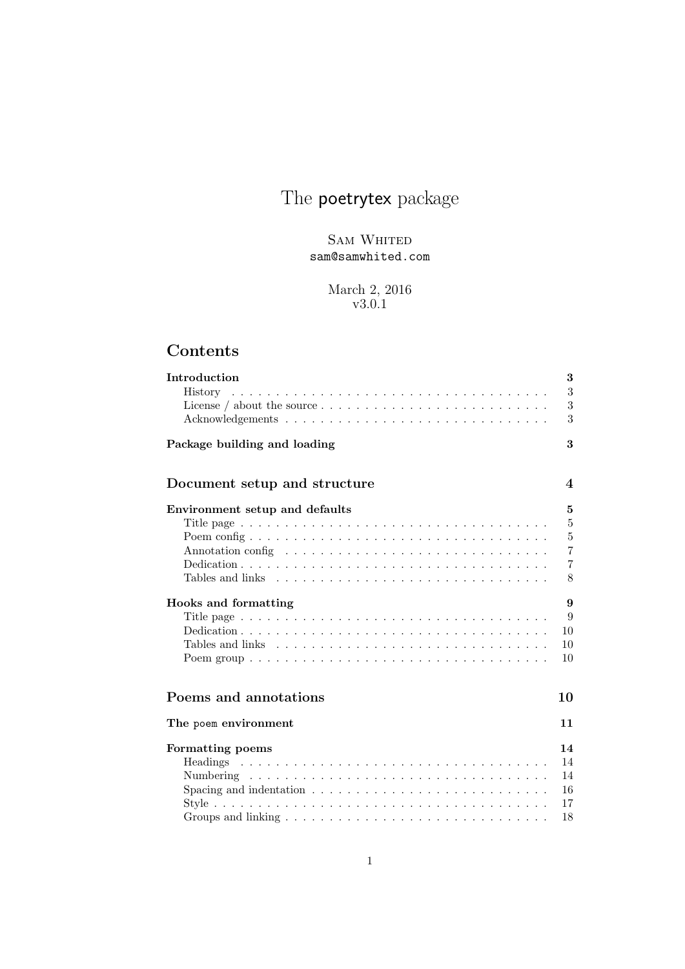## The **poetrytex** package

SAM WHITED sam@samwhited.com

> March 2, 2016 v3.0.1

## Contents

| Introduction                                                                                     | 3                        |
|--------------------------------------------------------------------------------------------------|--------------------------|
|                                                                                                  | 3                        |
| License / about the source $\dots \dots \dots \dots \dots \dots \dots \dots \dots \dots$         | 3                        |
|                                                                                                  | 3                        |
| Package building and loading                                                                     | 3                        |
| Document setup and structure                                                                     | $\overline{\mathcal{A}}$ |
| Environment setup and defaults                                                                   | 5                        |
| Title page $\ldots \ldots \ldots \ldots \ldots \ldots \ldots \ldots \ldots \ldots \ldots \ldots$ | $5\overline{)}$          |
|                                                                                                  | $\overline{5}$           |
|                                                                                                  | $\overline{7}$           |
|                                                                                                  | $\overline{7}$           |
|                                                                                                  | 8                        |
| Hooks and formatting                                                                             | 9                        |
| Title page $\ldots \ldots \ldots \ldots \ldots \ldots \ldots \ldots \ldots \ldots \ldots \ldots$ | 9                        |
|                                                                                                  | 10                       |
| Tables and links $\ldots \ldots \ldots \ldots \ldots \ldots \ldots \ldots \ldots \ldots$         | 10                       |
|                                                                                                  | 10                       |
| Poems and annotations                                                                            | 10                       |
|                                                                                                  |                          |
| The poem environment                                                                             | 11                       |
| Formatting poems                                                                                 | 14                       |
|                                                                                                  | 14                       |
|                                                                                                  | 14                       |
| Spacing and indentation $\ldots \ldots \ldots \ldots \ldots \ldots \ldots \ldots \ldots$         | 16                       |
|                                                                                                  | 17                       |
|                                                                                                  | 18                       |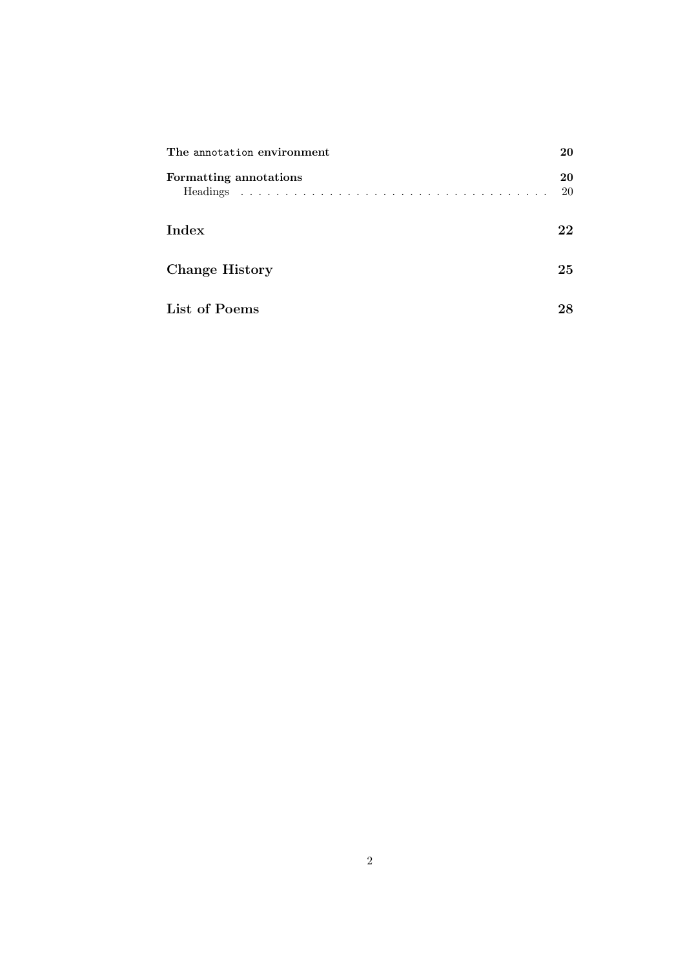| The annotation environment | 20       |
|----------------------------|----------|
| Formatting annotations     | 20<br>20 |
| Index                      | 22       |
| <b>Change History</b>      | 25       |
| List of Poems              | 28       |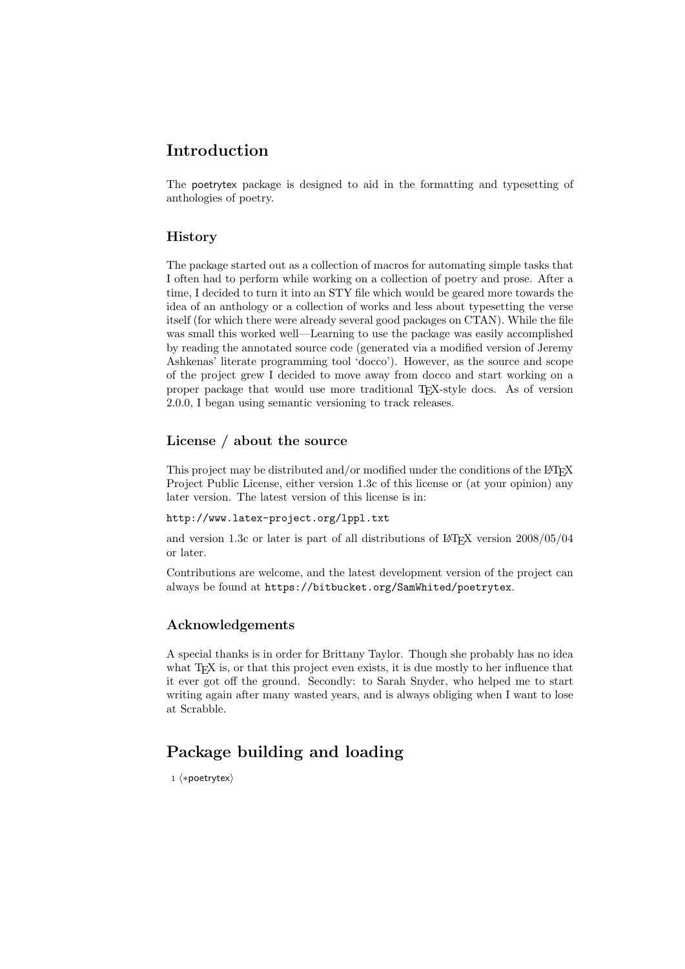### <span id="page-2-0"></span>Introduction

The poetrytex package is designed to aid in the formatting and typesetting of anthologies of poetry.

#### <span id="page-2-1"></span>History

The package started out as a collection of macros for automating simple tasks that I often had to perform while working on a collection of poetry and prose. After a time, I decided to turn it into an STY file which would be geared more towards the idea of an anthology or a collection of works and less about typesetting the verse itself (for which there were already several good packages on CTAN). While the file was small this worked well—Learning to use the package was easily accomplished by reading the annotated source code (generated via a modified version of Jeremy Ashkenas' literate programming tool 'docco'). However, as the source and scope of the project grew I decided to move away from docco and start working on a proper package that would use more traditional TEX-style docs. As of version 2.0.0, I began using [semantic versioning](https://semver.org) to track releases.

#### <span id="page-2-2"></span>License / about the source

This project may be distributed and/or modified under the conditions of the LATEX Project Public License, either version 1.3c of this license or (at your opinion) any later version. The latest version of this license is in:

#### <http://www.latex-project.org/lppl.txt>

and version 1.3c or later is part of all distributions of  $\angle L>F_{\rm F}X$  version  $2008/05/04$ or later.

Contributions are welcome, and the latest development version of the project can always be found at <https://bitbucket.org/SamWhited/poetrytex>.

#### <span id="page-2-3"></span>Acknowledgements

A special thanks is in order for Brittany Taylor. Though she probably has no idea what T<sub>E</sub>X is, or that this project even exists, it is due mostly to her influence that it ever got off the ground. Secondly: to Sarah Snyder, who helped me to start writing again after many wasted years, and is always obliging when I want to lose at Scrabble.

## <span id="page-2-4"></span>Package building and loading

1 (\*poetrytex)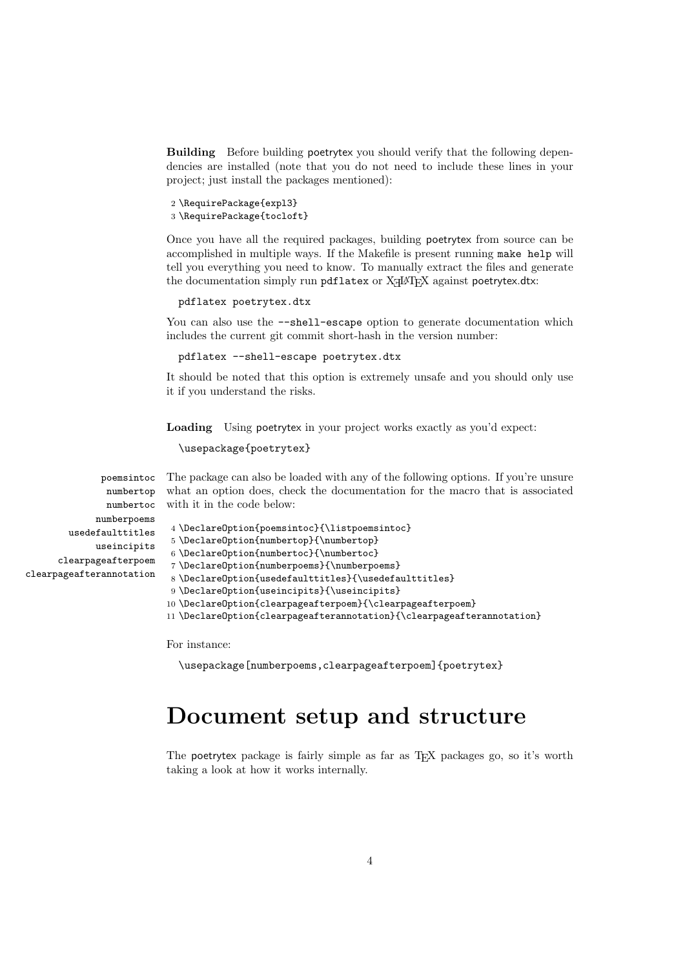Building Before building poetrytex you should verify that the following dependencies are installed (note that you do not need to include these lines in your project; just install the packages mentioned):

```
2 \RequirePackage{expl3}
3 \RequirePackage{tocloft}
```
Once you have all the required packages, building poetrytex from source can be accomplished in multiple ways. If the Makefile is present running make help will tell you everything you need to know. To manually extract the files and generate the documentation simply run  $pdf$ latex or  $X\exists P$ EX against  $po$ etrytex.dtx:

```
pdflatex poetrytex.dtx
```
You can also use the  $-$ -shell-escape option to generate documentation which includes the current git commit short-hash in the version number:

```
pdflatex --shell-escape poetrytex.dtx
```
It should be noted that this option is extremely unsafe and you should only use it if you understand the risks.

Loading Using poetrytex in your project works exactly as you'd expect:

```
\usepackage{poetrytex}
```
poemsintoc numbertop what an option does, check the documentation for the macro that is associated numbertoc with it in the code below: The package can also be loaded with any of the following options. If you're unsure

```
4 \DeclareOption{poemsintoc}{\listpoemsintoc}
5 \DeclareOption{numbertop}{\numbertop}
6 \DeclareOption{numbertoc}{\numbertoc}
7 \DeclareOption{numberpoems}{\numberpoems}
8 \DeclareOption{usedefaulttitles}{\usedefaulttitles}
9 \DeclareOption{useincipits}{\useincipits}
10 \DeclareOption{clearpageafterpoem}{\clearpageafterpoem}
```
11 \DeclareOption{clearpageafterannotation}{\clearpageafterannotation}

For instance:

```
\usepackage[numberpoems,clearpageafterpoem]{poetrytex}
```
## <span id="page-3-0"></span>Document setup and structure

The poetrytex package is fairly simple as far as TEX packages go, so it's worth taking a look at how it works internally.

numberpoems usedefaulttitles useincipits clearpageafterpoem clearpageafterannotation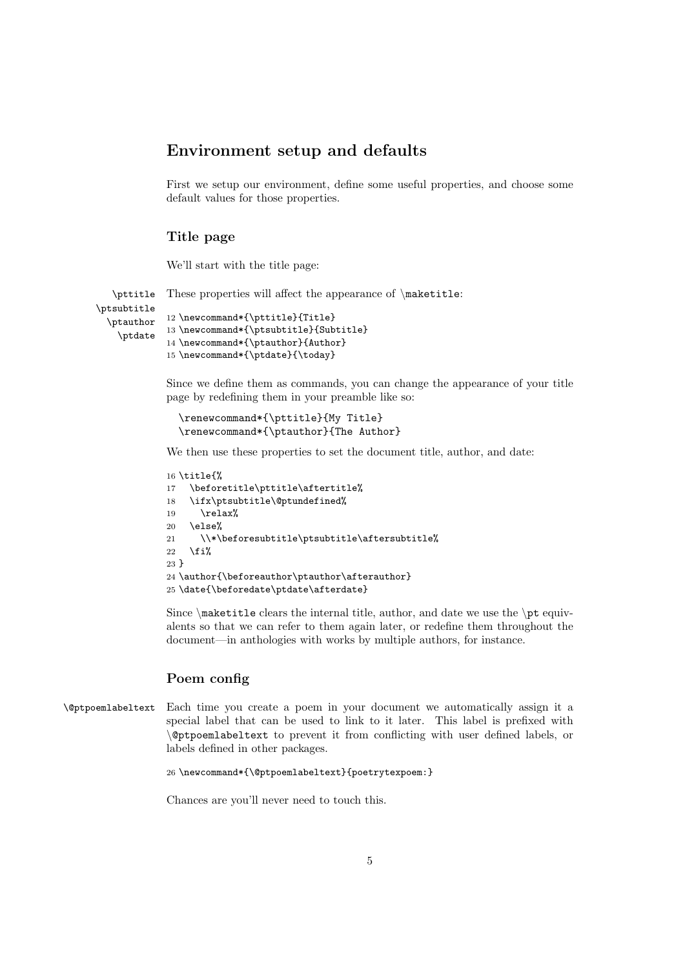#### <span id="page-4-0"></span>Environment setup and defaults

First we setup our environment, define some useful properties, and choose some default values for those properties.

#### <span id="page-4-1"></span>Title page

We'll start with the title page:

```
\pttitle
\ptsubtitle
  \ptauthor
    \ptdate
             These properties will affect the appearance of \mathcal{L}:
             12 \newcommand*{\pttitle}{Title}
             13 \newcommand*{\ptsubtitle}{Subtitle}
             14 \newcommand*{\ptauthor}{Author}
             15 \newcommand*{\ptdate}{\today}
```
Since we define them as commands, you can change the appearance of your title page by redefining them in your preamble like so:

```
\renewcommand*{\pttitle}{My Title}
\renewcommand*{\ptauthor}{The Author}
```
We then use these properties to set the document title, author, and date:

```
16 \title{%
17 \beforetitle\pttitle\aftertitle%
18 \ifx\ptsubtitle\@ptundefined%
19 \relax%
20 \else%
21 \\*\beforesubtitle\ptsubtitle\aftersubtitle%
22 \overline{\text{f}i\text{}}23 }
24 \author{\beforeauthor\ptauthor\afterauthor}
25 \date{\beforedate\ptdate\afterdate}
```
Since  $\mathcal{S}$  and  $\mathcal{S}$  are  $\mathcal{S}$  and date we use the  $\mathcal{S}$  equivalents so that we can refer to them again later, or redefine them throughout the document—in anthologies with works by multiple authors, for instance.

#### <span id="page-4-2"></span>Poem config

\@ptpoemlabeltext Each time you create a poem in your document we automatically assign it a special label that can be used to link to it later. This label is prefixed with \@ptpoemlabeltext to prevent it from conflicting with user defined labels, or labels defined in other packages.

```
26 \newcommand*{\@ptpoemlabeltext}{poetrytexpoem:}
```
Chances are you'll never need to touch this.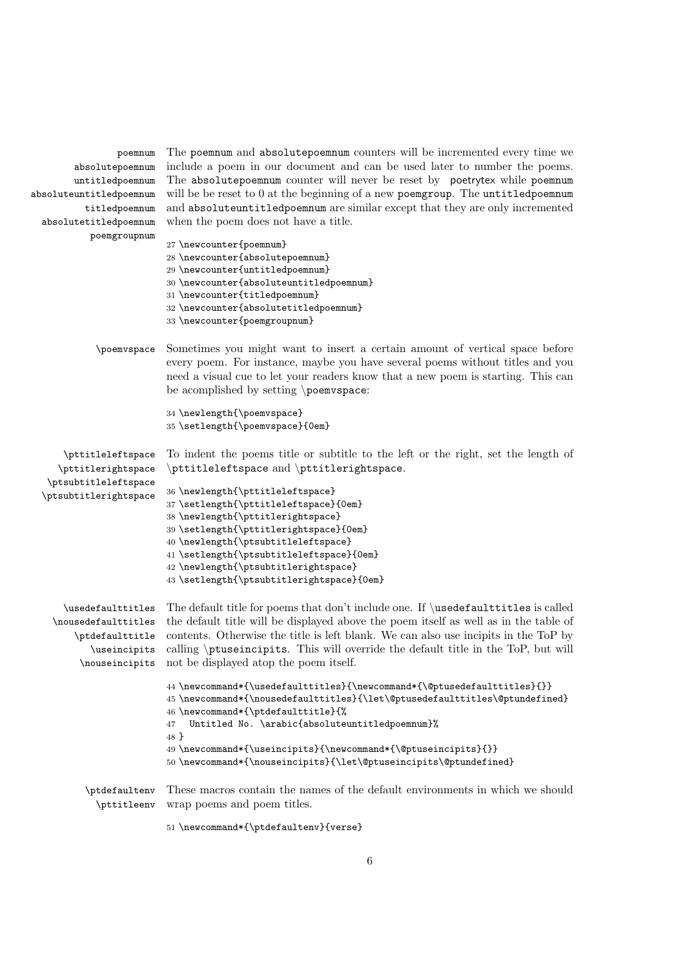| poemnum                 | The poemnum and absolute poemnum counters will be incremented every time we                  |
|-------------------------|----------------------------------------------------------------------------------------------|
| absolutepoemnum         | include a poem in our document and can be used later to number the poems.                    |
| untitledpoemnum         | The absolute poemnum counter will never be reset by poetrytex while poemnum                  |
| absoluteuntitledpoemnum | will be be reset to 0 at the beginning of a new poemgroup. The untitledpoemnum               |
| titledpoemnum           | and absoluteuntitledpoemnum are similar except that they are only incremented                |
| absolutetitledpoemnum   | when the poem does not have a title.                                                         |
| poemgroupnum            |                                                                                              |
|                         | 27 \newcounter{poemnum}                                                                      |
|                         | 28 \newcounter{absolutepoemnum}                                                              |
|                         | 29 \newcounter{untitledpoemnum}                                                              |
|                         | 30 \newcounter{absoluteuntitledpoemnum}                                                      |
|                         | 31 \newcounter{titledpoemnum}                                                                |
|                         | 32 \newcounter{absolutetitledpoemnum}                                                        |
|                         | 33 \newcounter{poemgroupnum}                                                                 |
|                         |                                                                                              |
| \poemvspace             | Sometimes you might want to insert a certain amount of vertical space before                 |
|                         | every poem. For instance, maybe you have several poems without titles and you                |
|                         | need a visual cue to let your readers know that a new poem is starting. This can             |
|                         | be acomplished by setting \poemvspace:                                                       |
|                         | 34 \newlength{\poemvspace}                                                                   |
|                         | 35 \setlength{\poemvspace}{0em}                                                              |
|                         |                                                                                              |
| \pttitleleftspace       | To indent the poems title or subtitle to the left or the right, set the length of            |
| \pttitlerightspace      | \pttitleleftspace and \pttitlerightspace.                                                    |
| \ptsubtitleleftspace    |                                                                                              |
| \ptsubtitlerightspace   | 36 \newlength{\pttitleleftspace}                                                             |
|                         | 37 \setlength{\pttitleleftspace}{0em}                                                        |
|                         | 38 \newlength{\pttitlerightspace}                                                            |
|                         | 39 \setlength{\pttitlerightspace}{0em}                                                       |
|                         | 40 \newlength{\ptsubtitleleftspace}                                                          |
|                         | 41 \setlength{\ptsubtitleleftspace}{0em}                                                     |
|                         | 42 \newlength{\ptsubtitlerightspace}                                                         |
|                         | 43 \setlength{\ptsubtitlerightspace}{0em}                                                    |
|                         |                                                                                              |
| \usedefaulttitles       | The default title for poems that don't include one. If \usedefaultitles is called            |
| \nousedefaulttitles     | the default title will be displayed above the poem itself as well as in the table of         |
| \ptdefaulttitle         | contents. Otherwise the title is left blank. We can also use incipits in the ToP by          |
| \useincipits            | calling \ptuseincipits. This will override the default title in the ToP, but will            |
|                         | \nouseincipits not be displayed atop the poem itself.                                        |
|                         | 44 \newcommand*{\usedefaulttitles}{\newcommand*{\@ptusedefaulttitles}{}}                     |
|                         | $45 \newcommand*{\nbox{\ldm}{{\tt be}}{{\tt be}}{{\tt be}}{\textbf{all}{{\tt be}}{\tt be}}\$ |
|                         | 46 \newcommand*{\ptdefaulttitle}{%                                                           |
|                         | Untitled No. \arabic{absoluteuntitledpoemnum}%<br>47                                         |
|                         | 48 }                                                                                         |
|                         | 49 \newcommand*{\useincipits}{\newcommand*{\@ptuseincipits}{}}                               |
|                         | 50\newcommand*{\nouseincipits}{\let\@ptuseincipits\@ptundefined}                             |
|                         |                                                                                              |
| \ptdefaultenv           | These macros contain the names of the default environments in which we should                |
| \pttitleenv             | wrap poems and poem titles.                                                                  |
|                         | 51 \newcommand*{\ptdefaultenv}{verse}                                                        |
|                         |                                                                                              |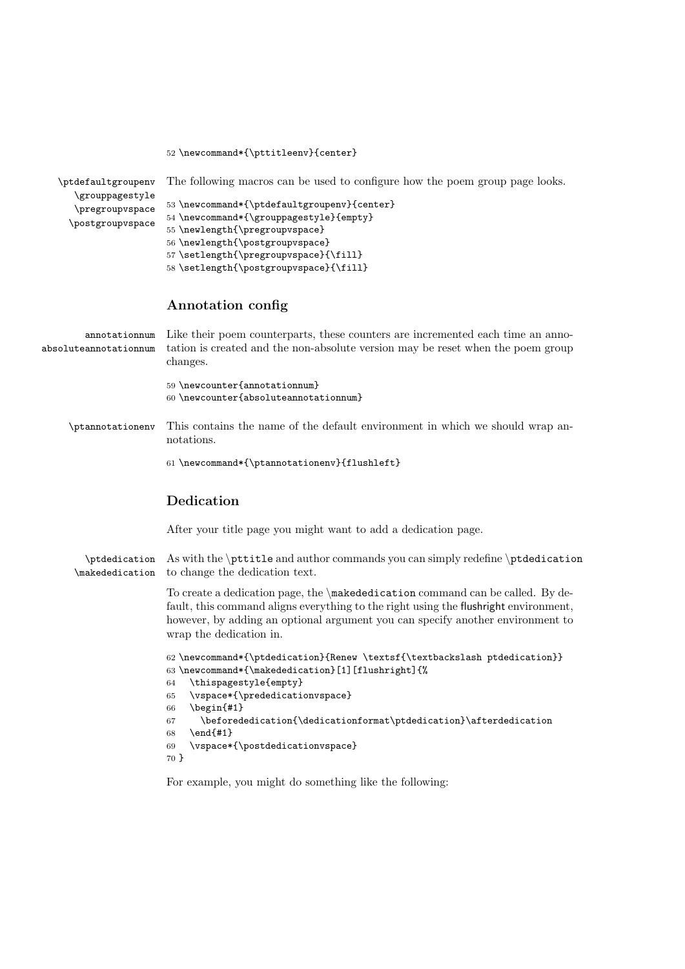```
52 \newcommand*{\pttitleenv}{center}
```

| \ptdefaultgroupenv<br>\grouppagestyle<br>\pregroupvspace<br>\postgroupvspace | The following macros can be used to configure how the poem group page looks.<br>53 \newcommand*{\ptdefaultgroupenv}{center}<br>54 \newcommand*{\grouppagestyle}{empty}<br>55 \newlength{\pregroupvspace}<br>56 \newlength{\postgroupvspace}<br>57 \setlength{\pregroupvspace}{\fill}<br>58 \setlength{\postgroupvspace}{\fill} |
|------------------------------------------------------------------------------|--------------------------------------------------------------------------------------------------------------------------------------------------------------------------------------------------------------------------------------------------------------------------------------------------------------------------------|
|                                                                              | Annotation config                                                                                                                                                                                                                                                                                                              |
| annotationnum<br>absoluteannotationnum                                       | Like their poem counterparts, these counters are incremented each time an anno-<br>tation is created and the non-absolute version may be reset when the poem group<br>changes.                                                                                                                                                 |
|                                                                              | 59 \newcounter{annotationnum}<br>60 \newcounter{absoluteannotationnum}                                                                                                                                                                                                                                                         |
| \ptannotationenv                                                             | This contains the name of the default environment in which we should wrap an-<br>notations.                                                                                                                                                                                                                                    |
|                                                                              | 61 \newcommand*{\ptannotationenv}{flushleft}                                                                                                                                                                                                                                                                                   |
|                                                                              | Dedication                                                                                                                                                                                                                                                                                                                     |
|                                                                              | After your title page you might want to add a dedication page.                                                                                                                                                                                                                                                                 |
| \ptdedication<br>\makededication                                             | As with the <i>\pttitle</i> and author commands you can simply redefine <i>\ptdedication</i><br>to change the dedication text.                                                                                                                                                                                                 |
|                                                                              | To create a dedication page, the $\mathcal{A}$ makededication command can be called. By de-<br>fault, this command aligns everything to the right using the flushright environment,<br>however, by adding an optional argument you can specify another environment to<br>wrap the dedication in.                               |
|                                                                              | 62 \newcommand*{\ptdedication}{Renew \textsf{\textbackslash ptdedication}}<br>63 \newcommand*{\makededication}[1] [flushright] {%<br>\thispagestyle{empty}<br>64<br>\vspace*{\prededicationvspace}<br>65<br>$\begin{bmatrix} \begin{array}{c} \end{array} \end{bmatrix}$<br>66                                                 |
|                                                                              | \beforededication{\dedicationformat\ptdedication}\afterdedication<br>67<br>$\end{41}$<br>68<br>\vspace*{\postdedicationvspace}<br>69<br>70 }                                                                                                                                                                                   |

<span id="page-6-1"></span>For example, you might do something like the following: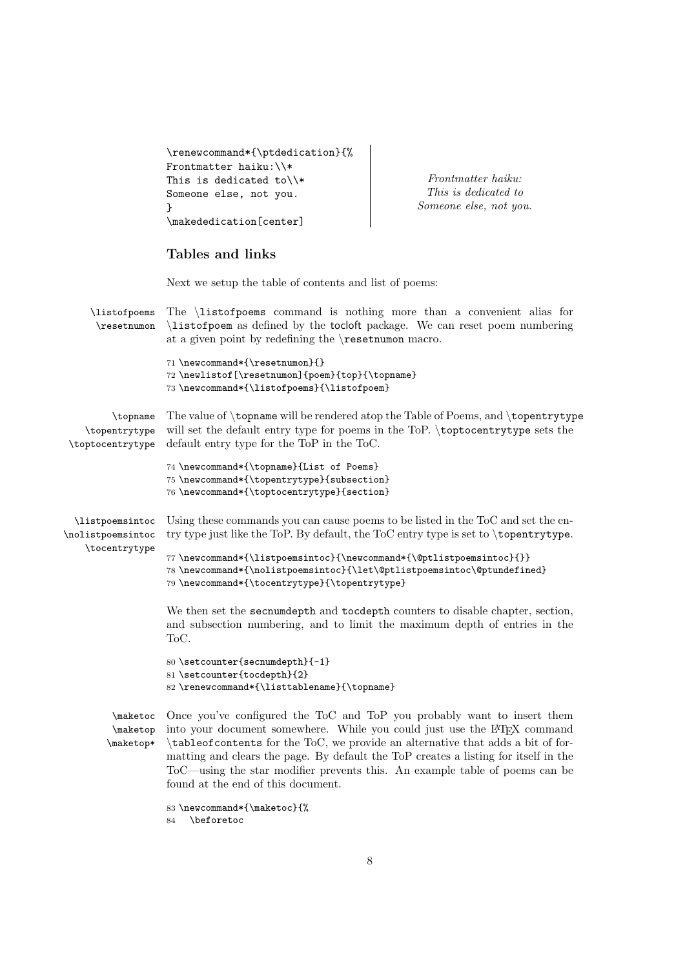```
\renewcommand*{\ptdedication}{%
Frontmatter haiku:\\*
This is dedicated to\\*
Someone else, not you.
}
\makededication[center]
```
Frontmatter haiku: This is dedicated to Someone else, not you.

#### <span id="page-7-0"></span>Tables and links

Next we setup the table of contents and list of poems:

\listofpoems \resetnumon The \listofpoems command is nothing more than a convenient alias for \listofpoem as defined by the tocloft package. We can reset poem numbering at a given point by redefining the \resetnumon macro. 71 \newcommand\*{\resetnumon}{} 72 \newlistof[\resetnumon]{poem}{top}{\topname} 73 \newcommand\*{\listofpoems}{\listofpoem} \topname \topentrytype \toptocentrytype default entry type for the ToP in the ToC. The value of \topname will be rendered atop the Table of Poems, and \topentrytype will set the default entry type for poems in the ToP. \toptocentrytype sets the 74 \newcommand\*{\topname}{List of Poems} 75 \newcommand\*{\topentrytype}{subsection} 76 \newcommand\*{\toptocentrytype}{section} \listpoemsintoc \nolistpoemsintoc \tocentrytype Using these commands you can cause poems to be listed in the ToC and set the entry type just like the ToP. By default, the ToC entry type is set to \topentrytype. 77 \newcommand\*{\listpoemsintoc}{\newcommand\*{\@ptlistpoemsintoc}{}} 78 \newcommand\*{\nolistpoemsintoc}{\let\@ptlistpoemsintoc\@ptundefined} 79 \newcommand\*{\tocentrytype}{\topentrytype} We then set the secnumdepth and tocdepth counters to disable chapter, section, and subsection numbering, and to limit the maximum depth of entries in the ToC. 80 \setcounter{secnumdepth}{-1} 81 \setcounter{tocdepth}{2} 82 \renewcommand\*{\listtablename}{\topname} \maketoc Once you've configured the ToC and ToP you probably want to insert them \maketop \maketop\* into your document somewhere. While you could just use the LATEX command \tableofcontents for the ToC, we provide an alternative that adds a bit of formatting and clears the page. By default the ToP creates a listing for itself in the ToC—using the star modifier prevents this. An example table of poems can be found at the end of this document.

```
83 \newcommand*{\maketoc}{%
84 \beforetoc
```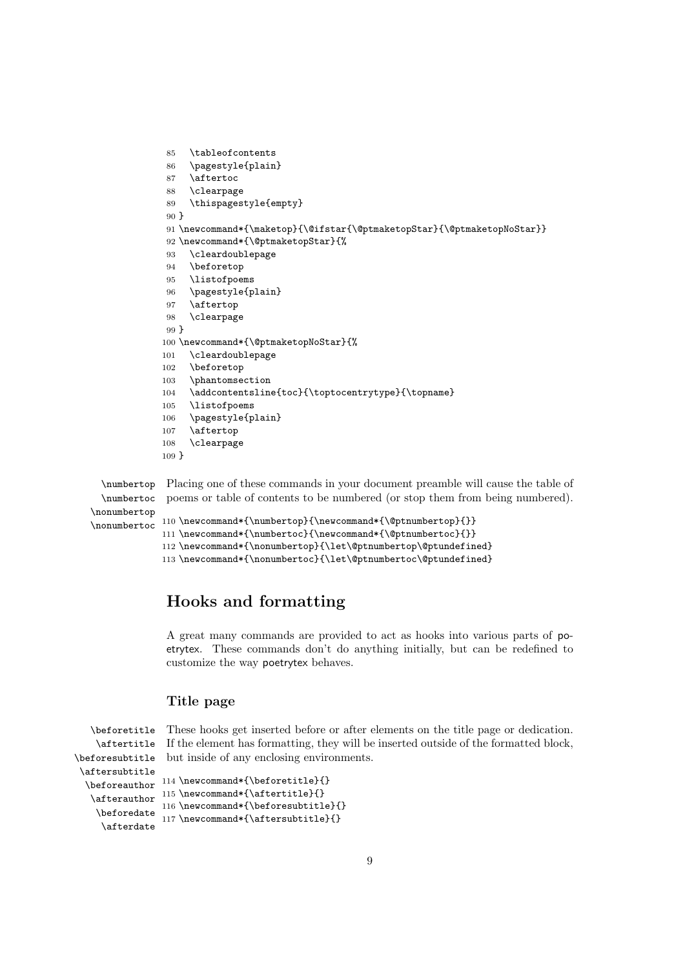```
85 \tableofcontents
86 \pagestyle{plain}
87 \aftertoc
88 \clearpage
89 \thispagestyle{empty}
90 }
91 \newcommand*{\maketop}{\@ifstar{\@ptmaketopStar}{\@ptmaketopNoStar}}
92 \newcommand*{\@ptmaketopStar}{%
93 \cleardoublepage
94 \beforetop
95 \listofpoems
96 \pagestyle{plain}
97 \aftertop
98 \clearpage
99 }
100 \newcommand*{\@ptmaketopNoStar}{%
101 \cleardoublepage
102 \beforetop
103 \phantomsection
104 \addcontentsline{toc}{\toptocentrytype}{\topname}
105 \listofpoems
106 \pagestyle{plain}
107 \aftertop
108 \clearpage
109 }
```

```
\numbertop
Placing one of these commands in your document preamble will cause the table of
 \numbertoc
\nonumbertop
\nonumbertoc 110 \newcommand*{\numbertop}{\newcommand*{\@ptnumbertop}{}}
             poems or table of contents to be numbered (or stop them from being numbered).
             111 \newcommand*{\numbertoc}{\newcommand*{\@ptnumbertoc}{}}
             112 \newcommand*{\nonumbertop}{\let\@ptnumbertop\@ptundefined}
```

```
113 \newcommand*{\nonumbertoc}{\let\@ptnumbertoc\@ptundefined}
```
### <span id="page-8-0"></span>Hooks and formatting

A great many commands are provided to act as hooks into various parts of poetrytex. These commands don't do anything initially, but can be redefined to customize the way poetrytex behaves.

#### <span id="page-8-1"></span>Title page

```
\beforetitle
    \aftertitle
\beforesubtitle
but inside of any enclosing environments.
\aftersubtitle
  \beforeauthor <sup>114</sup> \newcommand*{\beforetitle}{}
   \afterauthor
115 \newcommand*{\aftertitle}{}
    \beforedate 117 \newcommand*{\aftersubtitle}{}
     \afterdate
                 These hooks get inserted before or after elements on the title page or dedication.
                 If the element has formatting, they will be inserted outside of the formatted block,
                116 \newcommand*{\beforesubtitle}{}
```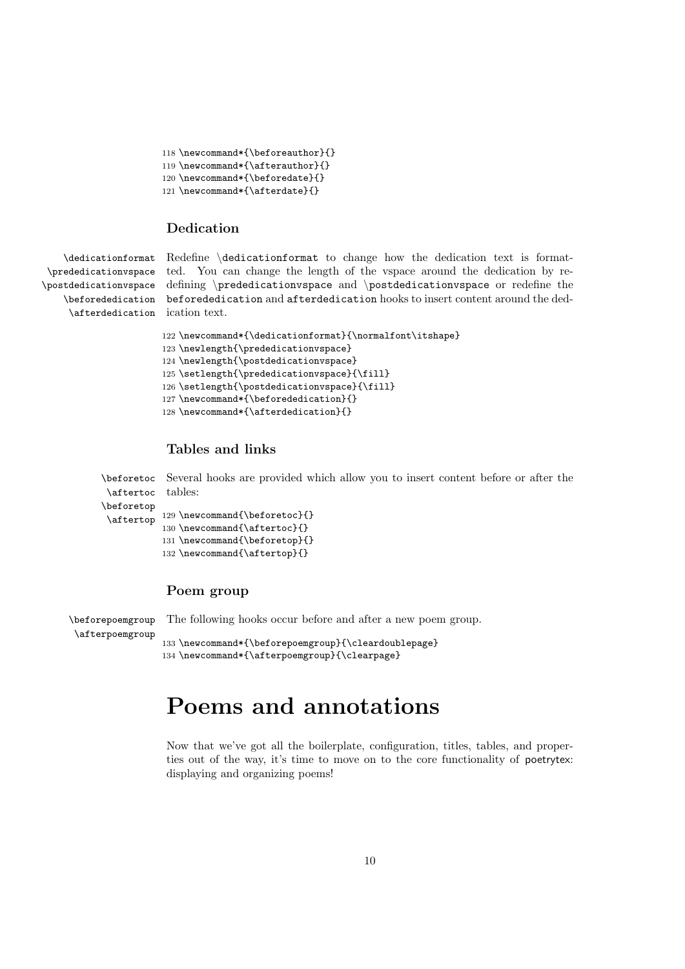```
118 \newcommand*{\beforeauthor}{}
119 \newcommand*{\afterauthor}{}
120 \newcommand*{\beforedate}{}
121 \newcommand*{\afterdate}{}
```
#### <span id="page-9-0"></span>Dedication

\dedicationformat \prededicationvspace \afterdedication ication text.

\postdedicationvspace defining \prededicationvspace and \postdedicationvspace or redefine the \beforededication beforededication and afterdedication hooks to insert content around the ded-Redefine \dedicationformat to change how the dedication text is formatted. You can change the length of the vspace around the dedication by re-

```
122 \newcommand*{\dedicationformat}{\normalfont\itshape}
123 \newlength{\prededicationvspace}
124 \newlength{\postdedicationvspace}
125 \setlength{\prededicationvspace}{\fill}
126 \setlength{\postdedicationvspace}{\fill}
127 \newcommand*{\beforededication}{}
128 \newcommand*{\afterdedication}{}
```
#### <span id="page-9-1"></span>Tables and links

\beforetoc Several hooks are provided which allow you to insert content before or after the \aftertoc tables:

```
\beforetop
```

```
\aftertop 129 \newcommand{\beforetoc}{}
          130 \newcommand{\aftertoc}{}
          131 \newcommand{\beforetop}{}
          132 \newcommand{\aftertop}{}
```
#### <span id="page-9-2"></span>Poem group

\beforepoemgroup \afterpoemgroup The following hooks occur before and after a new poem group. 133 \newcommand\*{\beforepoemgroup}{\cleardoublepage}

```
134 \newcommand*{\afterpoemgroup}{\clearpage}
```
## <span id="page-9-3"></span>Poems and annotations

Now that we've got all the boilerplate, configuration, titles, tables, and properties out of the way, it's time to move on to the core functionality of poetrytex: displaying and organizing poems!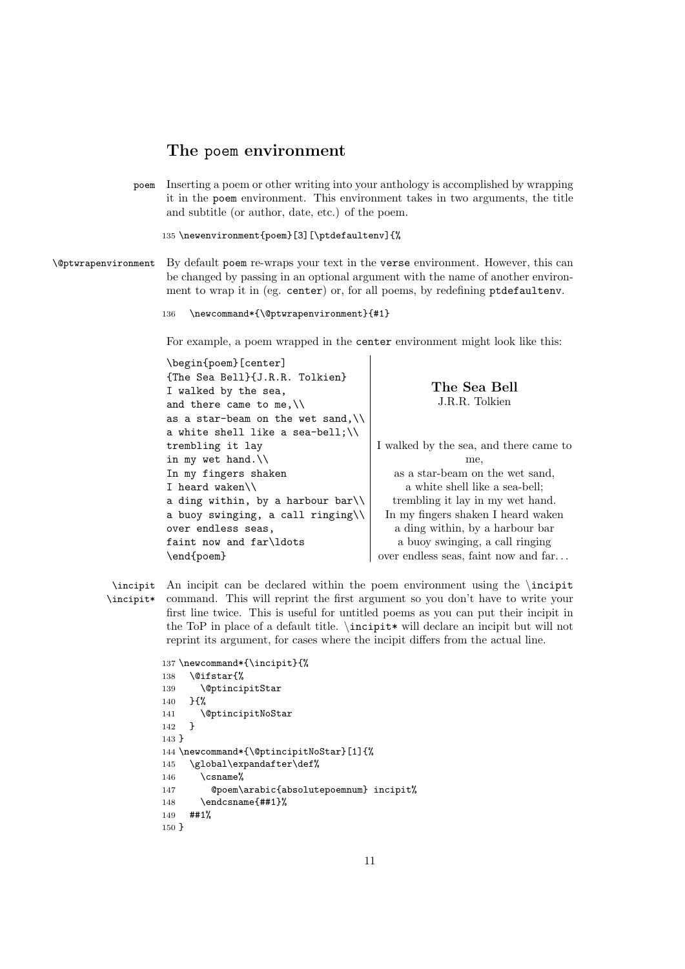#### <span id="page-10-0"></span>The poem environment

poem Inserting a poem or other writing into your anthology is accomplished by wrapping it in the poem environment. This environment takes in two arguments, the title and subtitle (or author, date, etc.) of the poem.

135 \newenvironment{poem}[3][\ptdefaultenv]{%

\@ptwrapenvironment By default poem re-wraps your text in the verse environment. However, this can be changed by passing in an optional argument with the name of another environment to wrap it in (eg. center) or, for all poems, by redefining ptdefaultenv.

```
136 \newcommand*{\@ptwrapenvironment}{#1}
```
For example, a poem wrapped in the center environment might look like this:

<span id="page-10-1"></span>

| \begin{poem}[center]                        |                                        |
|---------------------------------------------|----------------------------------------|
| {The Sea Bell}{J.R.R. Tolkien}              |                                        |
| I walked by the sea,                        | The Sea Bell                           |
| and there came to me, $\setminus$           | J.R.R. Tolkien                         |
| as a star-beam on the wet sand, $\setminus$ |                                        |
| a white shell like a sea-bell;\\            |                                        |
| trembling it lay                            | I walked by the sea, and there came to |
| in my wet hand. $\setminus$                 | me.                                    |
| In my fingers shaken                        | as a star-beam on the wet sand.        |
| I heard waken $\setminus$                   | a white shell like a sea-bell;         |
| a ding within, by a harbour bar $\setminus$ | trembling it lay in my wet hand.       |
| a buoy swinging, a call ringing $\setminus$ | In my fingers shaken I heard waken     |
| over endless seas,                          | a ding within, by a harbour bar        |
| faint now and far\ldots                     | a buoy swinging, a call ringing        |
| \end{poem}                                  | over endless seas, faint now and far   |

\incipit An incipit can be declared within the poem environment using the \incipit \incipit\* command. This will reprint the first argument so you don't have to write your first line twice. This is useful for untitled poems as you can put their incipit in the ToP in place of a default title.  $\infty$  will declare an incipit but will not reprint its argument, for cases where the incipit differs from the actual line.

```
137 \newcommand*{\incipit}{%
138 \@ifstar{%
139 \@ptincipitStar
140 }{%
141 \@ptincipitNoStar
142 }
143 }
144 \newcommand*{\@ptincipitNoStar}[1]{%
145 \global\expandafter\def%
146 \qquad \text{csname}%
147 @poem\arabic{absolutepoemnum} incipit%
148 \endcsname{##1}%
149 ##1%
150 }
```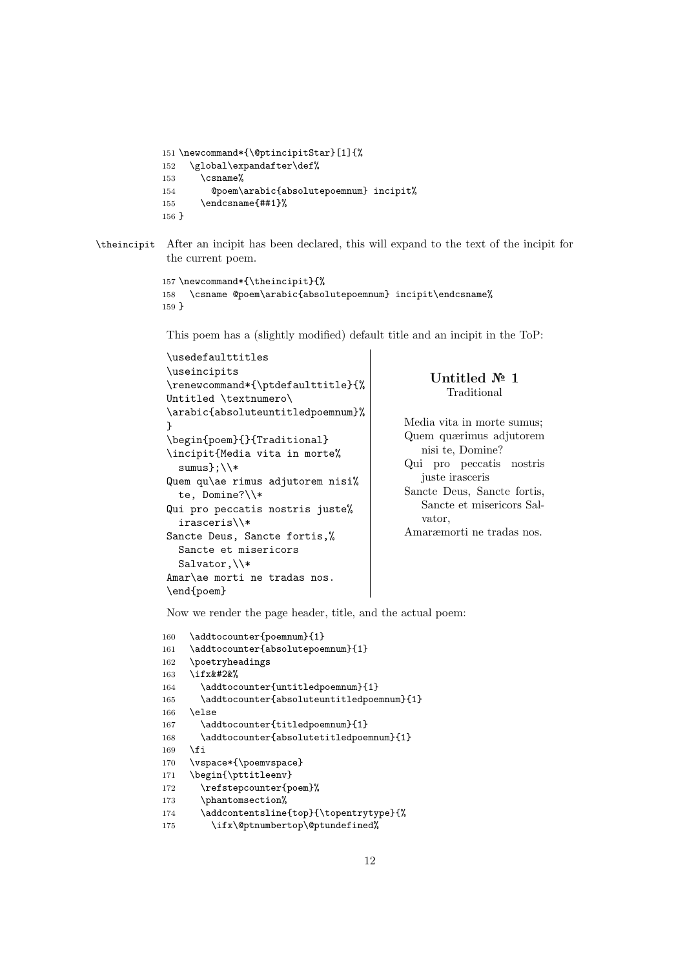```
151 \newcommand*{\@ptincipitStar}[1]{%
152 \global\expandafter\def%
153 \qquad \text{Csmame}%
154 @poem\arabic{absolutepoemnum} incipit%
155 \endcsname{##1}%
156 }
```
\theincipit After an incipit has been declared, this will expand to the text of the incipit for the current poem.

```
157 \newcommand*{\theincipit}{%
158 \csname @poem\arabic{absolutepoemnum} incipit\endcsname%
159 }
```
This poem has a (slightly modified) default title and an incipit in the ToP:

```
\usedefaulttitles
\useincipits
\renewcommand*{\ptdefaulttitle}{%
Untitled \textnumero\
\arabic{absoluteuntitledpoemnum}%
}
\begin{poem}{}{Traditional}
\incipit{Media vita in morte%
  sumus};\\*
Quem qu\ae rimus adjutorem nisi%
  te, Domine?\\*
Qui pro peccatis nostris juste%
  irasceris\\*
Sancte Deus, Sancte fortis,%
  Sancte et misericors
  Salvator, \\*
Amar\ae morti ne tradas nos.
\end{poem}
                                            vator,
```
<span id="page-11-0"></span>Untitled № 1 Traditional

Media vita in morte sumus; Quem quærimus adjutorem nisi te, Domine? Qui pro peccatis nostris juste irasceris Sancte Deus, Sancte fortis, Sancte et misericors Sal-

Amaræmorti ne tradas nos.

Now we render the page header, title, and the actual poem:

```
160 \addtocounter{poemnum}{1}
161 \addtocounter{absolutepoemnum}{1}
162 \poetryheadings
163 \ifx&#2&%
164 \addtocounter{untitledpoemnum}{1}
165 \addtocounter{absoluteuntitledpoemnum}{1}
166 \else
167 \addtocounter{titledpoemnum}{1}
168 \addtocounter{absolutetitledpoemnum}{1}
169 \fi
170 \vspace*{\poemvspace}
171 \begin{\pttitleenv}
172 \refstepcounter{poem}%
173 \phantomsection%
174 \addcontentsline{top}{\topentrytype}{%
175 \ifx\@ptnumbertop\@ptundefined%
```
12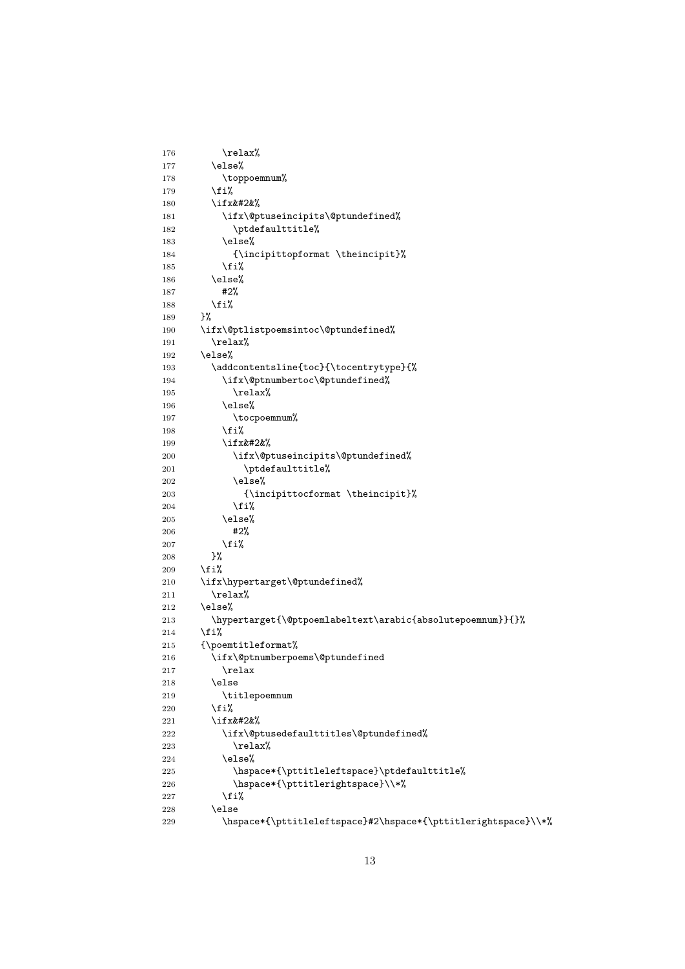```
176 \text{relax\textit{\%}}177 \else%
178 \toppoemnum%
179 \overline{179}180 \ifx&#2&%
181 \ifx\@ptuseincipits\@ptundefined%
182 \ptdefaulttitle%
183 \else%
184 {\incipittopformat \theincipit}%
185 \overrightarrow{185}186 \else%
187 #2%
188 \overleftrightarrow{fi}189 }%
190 \ifx\@ptlistpoemsintoc\@ptundefined%
191 \relax%
192 \else%
193 \addcontentsline{toc}{\tocentrytype}{%
194 \ifx\@ptnumbertoc\@ptundefined%
195 \relax%
196 \else%
197 \tocpoemnum%
198 \overline{\iota}199 \ifx&#2&%
200 \ifx\@ptuseincipits\@ptundefined%
201 \ptdefaulttitle%
202 \else%
203 {\incipittocformat \theincipit}%
204 \overrightarrow{1\%}205 \else%
206 #2%
207 \fi%
208 }%
209 \overline{\text{if}'}210 \ifx\hypertarget\@ptundefined%
211 \relax%
212 \else%
213 \hypertarget{\@ptpoemlabeltext\arabic{absolutepoemnum}}{}%
214 \overrightarrow{12}215 {\poemtitleformat%
216 \ifx\@ptnumberpoems\@ptundefined
217 \relax
218 \else
219 \titlepoemnum
220 \overline{\text{if'}}221 \iint x \& # 2 \&%
222 \ifx\@ptusedefaulttitles\@ptundefined%
223 \relax%
224 \else%
225226 \hspace*{\pttitlerightspace}\\*%
227 \ifmmode{\big\langle} 1 \leq j \leq 2 \leq n \big\rangle228 \else
229 \hspace*{\pttitleleftspace}#2\hspace*{\pttitlerightspace}\\*%
```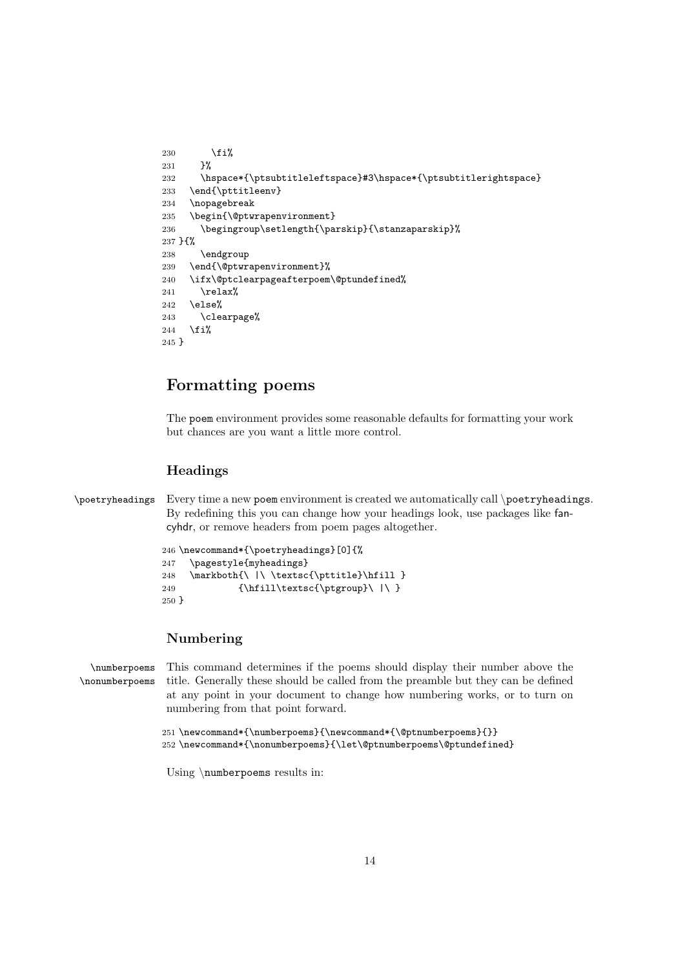```
230 \overline{\text{1230}}231 }%
232 \hspace*{\ptsubtitleleftspace}#3\hspace*{\ptsubtitlerightspace}
233 \end{\pttitleenv}
234 \nopagebreak
235 \begin{\@ptwrapenvironment}
236 \begingroup\setlength{\parskip}{\stanzaparskip}%
237 }{%
238 \endgroup
239 \end{\@ptwrapenvironment}%
240 \ifx\@ptclearpageafterpoem\@ptundefined%
241 \relax%
242 \else%
243 \clearpage%
244 \overline{\text{f}i\text{}}245 }
```
## <span id="page-13-0"></span>Formatting poems

The poem environment provides some reasonable defaults for formatting your work but chances are you want a little more control.

#### <span id="page-13-1"></span>Headings

```
\poetryheadings Every time a new poem environment is created we automatically call \poetryheadings.
                  By redefining this you can change how your headings look, use packages like fan-
                 cyhdr, or remove headers from poem pages altogether.
```

```
246 \newcommand*{\poetryheadings}[0]{%
247 \pagestyle{myheadings}
248 \markboth{\ |\ \textsc{\pttitle}\hfill }
249 {\hfill\text{c}} \ | \250 }
```
#### <span id="page-13-2"></span>Numbering

\numberpoems \nonumberpoems This command determines if the poems should display their number above the title. Generally these should be called from the preamble but they can be defined at any point in your document to change how numbering works, or to turn on numbering from that point forward.

```
251 \newcommand*{\numberpoems}{\newcommand*{\@ptnumberpoems}{}}
252 \newcommand*{\nonumberpoems}{\let\@ptnumberpoems\@ptundefined}
```
Using \numberpoems results in: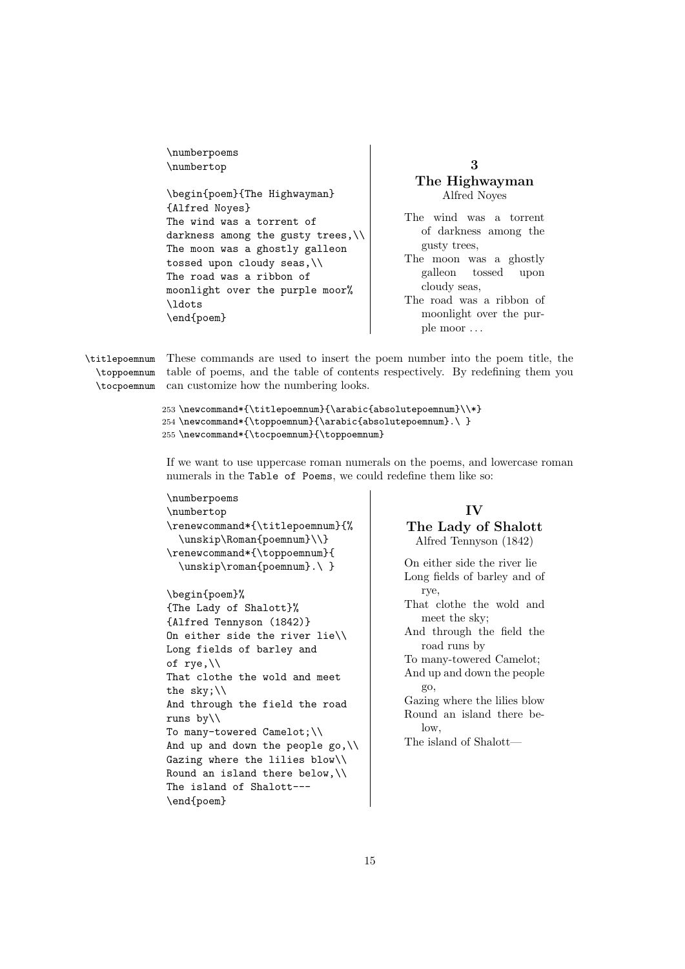\numberpoems \numbertop

\begin{poem}{The Highwayman} {Alfred Noyes} The wind was a torrent of darkness among the gusty trees,\\ The moon was a ghostly galleon tossed upon cloudy seas,\\ The road was a ribbon of moonlight over the purple moor% \ldots \end{poem}

<span id="page-14-0"></span>3 The Highwayman Alfred Noyes

The wind was a torrent of darkness among the gusty trees,

The moon was a ghostly galleon tossed upon cloudy seas,

The road was a ribbon of moonlight over the purple moor . . .

\titlepoemnum \toppoemnum \tocpoemnum can customize how the numbering looks. These commands are used to insert the poem number into the poem title, the table of poems, and the table of contents respectively. By redefining them you

```
253 \newcommand*{\titlepoemnum}{\arabic{absolutepoemnum}\\*}
254 \newcommand*{\toppoemnum}{\arabic{absolutepoemnum}.\ }
255 \newcommand*{\tocpoemnum}{\toppoemnum}
```
If we want to use uppercase roman numerals on the poems, and lowercase roman numerals in the [Table of Poems](#page-27-0), we could redefine them like so:

```
\numberpoems
\numbertop
\renewcommand*{\titlepoemnum}{%
  \unskip\Roman{poemnum}\\}
\renewcommand*{\toppoemnum}{
 \unskip\roman{poemnum}.\ }
```

```
\begin{poem}%
{The Lady of Shalott}%
{Alfred Tennyson (1842)}
On either side the river lie\\
Long fields of barley and
of rye,\\
That clothe the wold and meet
the sky;\\
And through the field the road
runs by\\
To many-towered Camelot;\\
And up and down the people go, \backslash \backslashGazing where the lilies blow\\
Round an island there below,\\
The island of Shalott---
\end{poem}
```
#### IV

#### <span id="page-14-1"></span>The Lady of Shalott Alfred Tennyson (1842)

On either side the river lie Long fields of barley and of rye,

That clothe the wold and meet the sky;

And through the field the road runs by

To many-towered Camelot; And up and down the people go,

Gazing where the lilies blow Round an island there below,

The island of Shalott—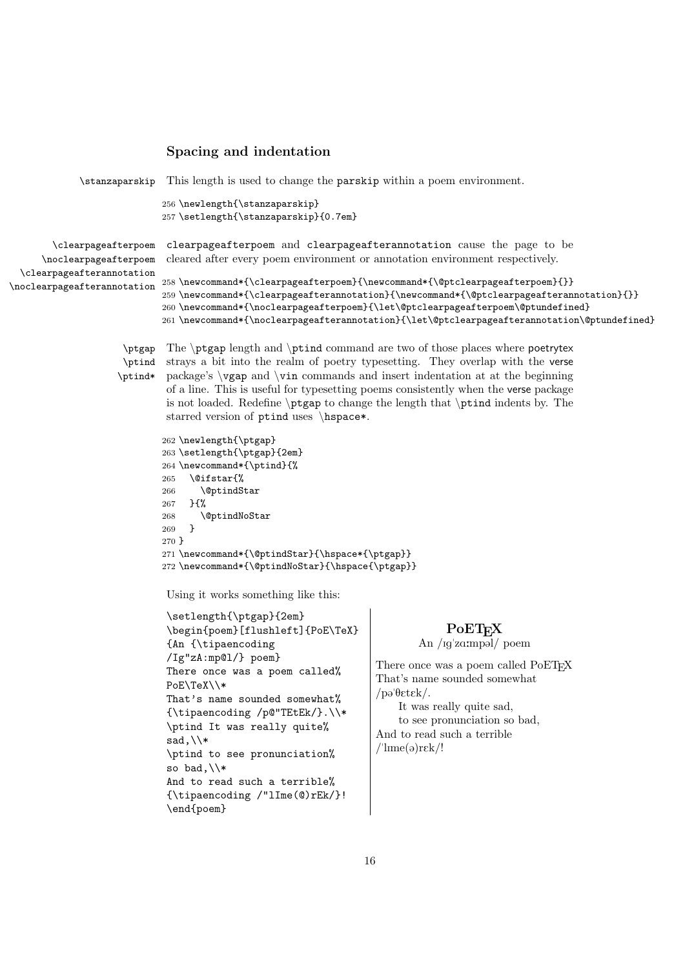#### <span id="page-15-0"></span>Spacing and indentation

```
\stanzaparskip This length is used to change the parskip within a poem environment.
                            256 \newlength{\stanzaparskip}
                            257 \setlength{\stanzaparskip}{0.7em}
       \clearpageafterpoem
     \noclearpageafterpoem
 \clearpageafterannotation
\noclearpageafterannotation 258 \newcommand*{\clearpageafterpoem}{\newcommand*{\@ptclearpageafterpoem}{}}
                            clearpageafterpoem and clearpageafterannotation cause the page to be
                            cleared after every poem environment or annotation environment respectively.
                            259 \newcommand*{\clearpageafterannotation}{\newcommand*{\@ptclearpageafterannotation}{}}
```

```
260 \newcommand*{\noclearpageafterpoem}{\let\@ptclearpageafterpoem\@ptundefined}
261 \newcommand*{\noclearpageafterannotation}{\let\@ptclearpageafterannotation\@ptundefined}
```
\ptind \ptind\*

\ptgap The \ptgap length and \ptind command are two of those places where poetrytex strays a bit into the realm of poetry typesetting. They overlap with the verse package's \vgap and \vin commands and insert indentation at at the beginning of a line. This is useful for typesetting poems consistently when the verse package is not loaded. Redefine \ptgap to change the length that \ptind indents by. The starred version of ptind uses \hspace\*.

```
262 \newlength{\ptgap}
263 \setlength{\ptgap}{2em}
264 \newcommand*{\ptind}{%
265 \@ifstar{%
266 \@ptindStar
267 }{%
268 \@ptindNoStar
269 - 3270 }
271 \newcommand*{\@ptindStar}{\hspace*{\ptgap}}
272 \newcommand*{\@ptindNoStar}{\hspace{\ptgap}}
```
Using it works something like this:

```
\setlength{\ptgap}{2em}
\begin{poem}[flushleft]{PoE\TeX}
{An {\tipaencoding
/Ig"zA:mp@l/} poem}
There once was a poem called%
PoE\TeX\\*
That's name sounded somewhat%
{\tipaencoding /p@"TEtEk/}.\\*
\ptind It was really quite%
sad,\\*
\ptind to see pronunciation%
so bad, \sqrt{*}And to read such a terrible%
{\tipaencoding /"lIme(@)rEk/}!
\end{poem}
```
#### **PoET<sub>F</sub>X**

```
An /Ig'za:mpəl/ poem
```
<span id="page-15-1"></span>There once was a poem called PoETEX That's name sounded somewhat  $/$ pa' $\theta$ *etek*/.

It was really quite sad, to see pronunciation so bad, And to read such a terrible  $/$ 'lıme(ə)r $\epsilon$ k/!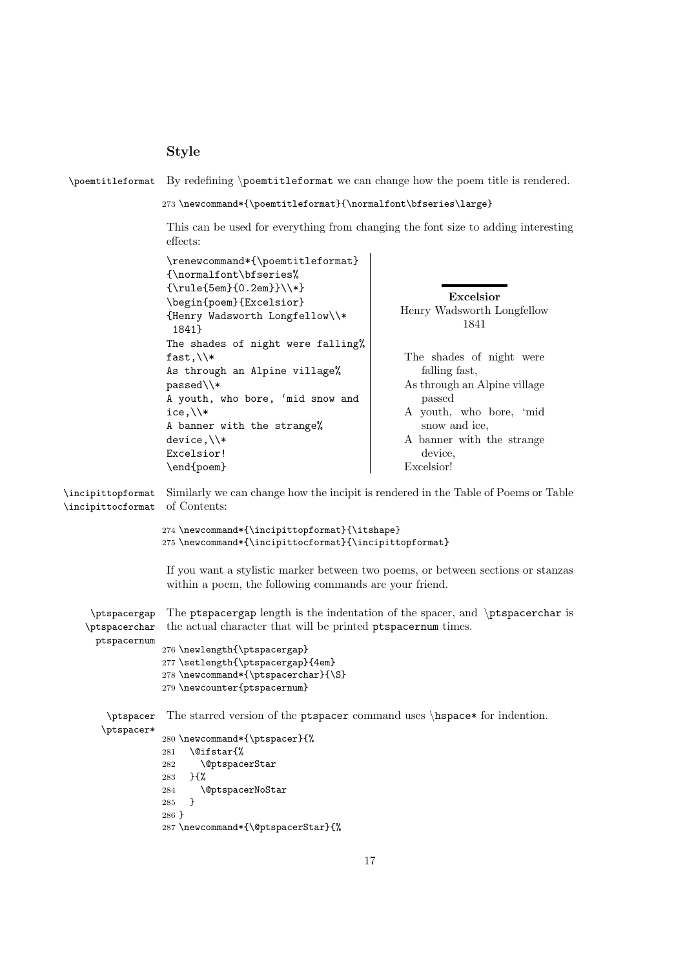### <span id="page-16-0"></span>Style

\poemtitleformat By redefining \poemtitleformat we can change how the poem title is rendered.

 ${\bf \mbox{\texttt{b}normal} {\bf \strut} {\bf \strut} {\bf \strut} {\bf \strut} {\bf \strut} {\bf \strut} {\bf \strut} {\bf \strut} {\bf \strut} {\bf \strut} {\bf \strut} {\bf \strut} {\bf \strut} {\bf \strut} {\bf \strut} {\bf \strut} {\bf \strut} {\bf \strut} {\bf \strut} {\bf \strut} {\bf \strut} {\bf \strut} {\bf \strut} {\bf \strut} {\bf \strut} {\bf \strut} {\bf \strut} {\bf \strut} {\bf \strut} {\bf \strut} {\bf \strut} {\bf \strut} {\bf \strut} {\bf \strut} {\bf \$ 

<span id="page-16-1"></span>This can be used for everything from changing the font size to adding interesting effects:

| Henry Wadsworth Longfellow<br>The shades of night were<br>As through an Alpine village<br>A youth, who bore, 'mid<br>A banner with the strange |
|------------------------------------------------------------------------------------------------------------------------------------------------|
| Similarly we can change how the incipit is rendered in the Table of Poems or Table                                                             |
|                                                                                                                                                |
| If you want a stylistic marker between two poems, or between sections or stanzas                                                               |
| The ptspacergap length is the indentation of the spacer, and \ptspacerchar is                                                                  |
| The starred version of the ptspacer command uses \hspace* for indention.                                                                       |
|                                                                                                                                                |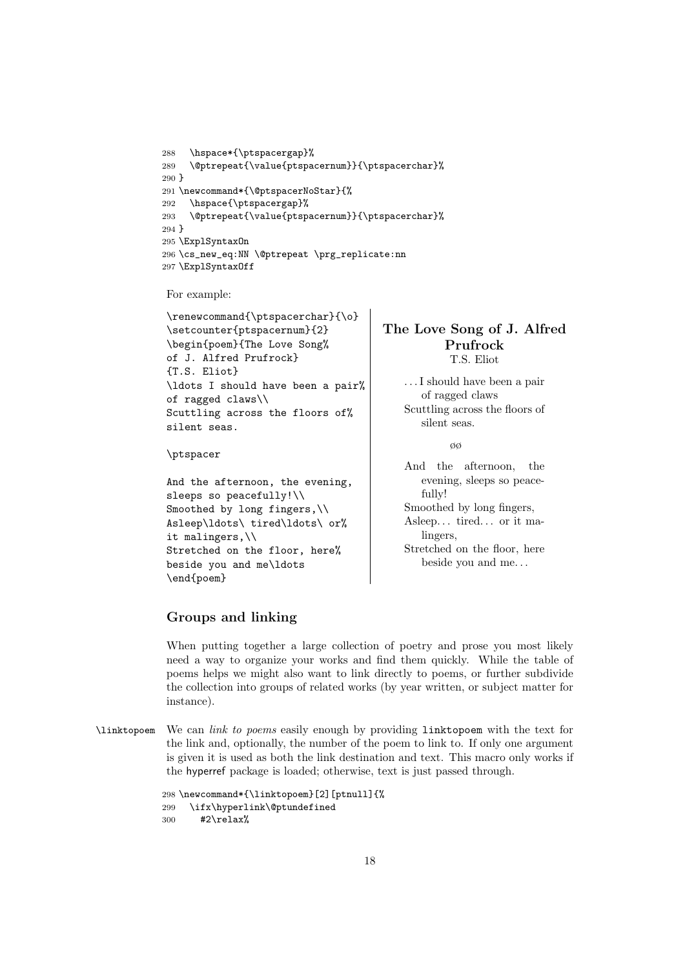```
288 \hspace*{\ptspacergap}%
289 \@ptrepeat{\value{ptspacernum}}{\ptspacerchar}%
290 }
291 \newcommand*{\@ptspacerNoStar}{%
292 \hspace{\ptspacergap}%
293 \@ptrepeat{\value{ptspacernum}}{\ptspacerchar}%
294 }
295 \ExplSyntaxOn
296 \cs_new_eq:NN \@ptrepeat \prg_replicate:nn
297 \ExplSyntaxOff
```
For example:

```
\renewcommand{\ptspacerchar}{\o}
\setcounter{ptspacernum}{2}
\begin{poem}{The Love Song%
of J. Alfred Prufrock}
{T.S. Eliot}
\ldots I should have been a pair%
of ragged claws\\
Scuttling across the floors of%
silent seas.
```
#### \ptspacer

```
And the afternoon, the evening,
sleeps so peacefully!\\
Smoothed by long fingers, \setminusAsleep\ldots\ tired\ldots\ or%
it malingers,\\
Stretched on the floor, here%
beside you and me\ldots
\end{poem}
```
#### <span id="page-17-1"></span>The Love Song of J. Alfred Prufrock T.S. Eliot

. . . I should have been a pair of ragged claws Scuttling across the floors of silent seas.

øø

And the afternoon, the evening, sleeps so peacefully! Smoothed by long fingers, Asleep. . . tired. . . or it malingers, Stretched on the floor, here beside you and me. . .

#### <span id="page-17-0"></span>Groups and linking

When putting together a large collection of poetry and prose you most likely need a way to organize your works and find them quickly. While the table of poems helps we might also want to link directly to poems, or further subdivide the collection into groups of related works (by year written, or subject matter for instance).

\linktopoem We can [link](#page-10-1) [to](#page-11-0) [poems](#page-14-0) easily enough by providing linktopoem with the text for the link and, optionally, the number of the poem to link to. If only one argument is given it is used as both the link destination and text. This macro only works if the hyperref package is loaded; otherwise, text is just passed through.

```
298 \newcommand*{\linktopoem}[2][ptnull]{%
299 \ifx\hyperlink\@ptundefined
300 #2\relax%
```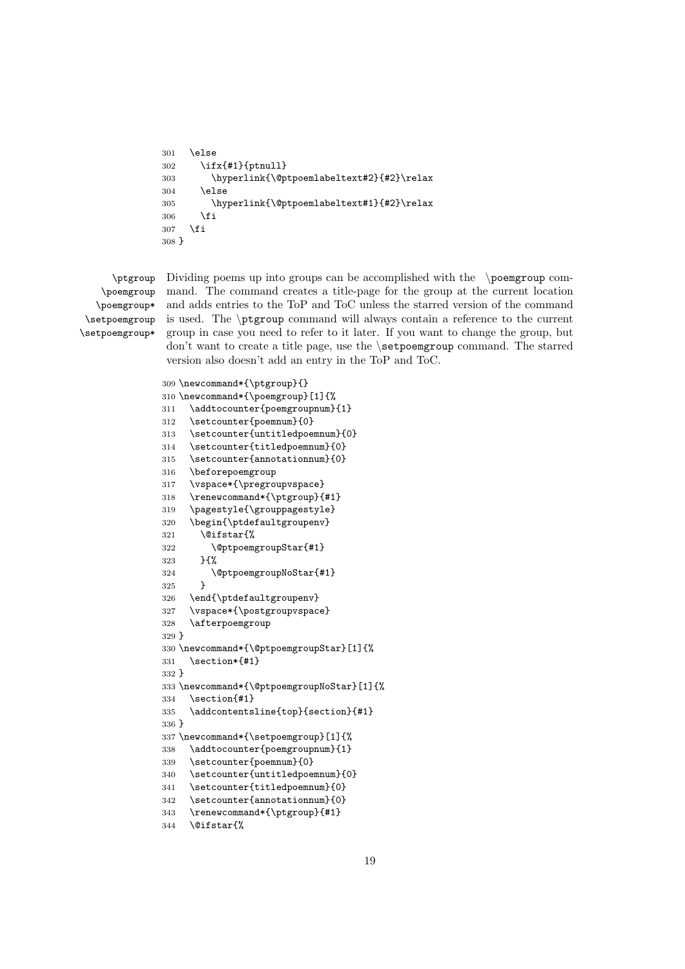```
301 \quad \text{A3}302 \ifx{#1}{ptnull}
303 \hyperlink{\@ptpoemlabeltext#2}{#2}\relax
304 \else
305 \hyperlink{\@ptpoemlabeltext#1}{#2}\relax
306 \fi
307 \fi
308 }
```
\ptgroup \poemgroup \poemgroup\* \setpoemgroup \setpoemgroup\*

Dividing poems up into groups can be accomplished with the \poemgroup command. The command creates a title-page for the group at the current location and adds entries to the ToP and ToC unless the starred version of the command is used. The \ptgroup command will always contain a reference to the current group in case you need to refer to it later. If you want to change the group, but don't want to create a title page, use the **\setpoemgroup** command. The starred version also doesn't add an entry in the ToP and ToC.

```
309 \newcommand*{\ptgroup}{}
310 \newcommand*{\poemgroup}[1]{%
311 \addtocounter{poemgroupnum}{1}
312 \setcounter{poemnum}{0}
313 \setcounter{untitledpoemnum}{0}
314 \setcounter{titledpoemnum}{0}
315 \setcounter{annotationnum}{0}
316 \beforepoemgroup
317 \vspace*{\pregroupvspace}
318 \renewcommand*{\ptgroup}{#1}
319 \pagestyle{\grouppagestyle}
320 \begin{\ptdefaultgroupenv}
321 \@ifstar{%
322 \@ptpoemgroupStar{#1}
323 }{%
324 \@ptpoemgroupNoStar{#1}
325 }
326 \end{\ptdefaultgroupenv}
327 \vspace*{\postgroupvspace}
328 \afterpoemgroup
329 }
330 \newcommand*{\@ptpoemgroupStar}[1]{%
331 \section*{#1}
332 }
333 \newcommand*{\@ptpoemgroupNoStar}[1]{%
334 \section{#1}
335 \addcontentsline{top}{section}{#1}
336 }
337 \newcommand*{\setpoemgroup}[1]{%
338 \addtocounter{poemgroupnum}{1}
339 \setcounter{poemnum}{0}
340 \setcounter{untitledpoemnum}{0}
341 \setcounter{titledpoemnum}{0}
342 \setcounter{annotationnum}{0}
343 \renewcommand*{\ptgroup}{#1}
344 \@ifstar{%
```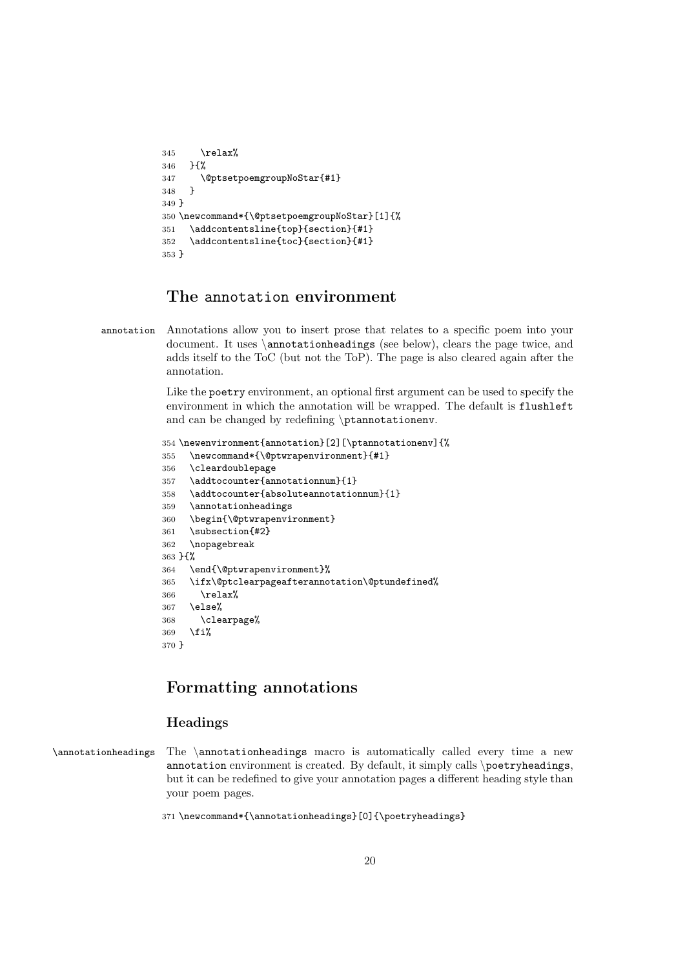```
345 \relax%
346 }{%
347 \@ptsetpoemgroupNoStar{#1}
348 }
349 }
350 \newcommand*{\@ptsetpoemgroupNoStar}[1]{%
351 \addcontentsline{top}{section}{#1}
352 \addcontentsline{toc}{section}{#1}
353 }
```
### <span id="page-19-0"></span>The annotation environment

annotation Annotations allow you to insert prose that relates to a specific poem into your document. It uses \annotationheadings (see below), clears the page twice, and adds itself to the ToC (but not the ToP). The page is also cleared again after the annotation.

> Like the poetry environment, an optional first argument can be used to specify the environment in which the annotation will be wrapped. The default is flushleft and can be changed by redefining \ptannotationenv.

```
354 \newenvironment{annotation}[2][\ptannotationenv]{%
355 \newcommand*{\@ptwrapenvironment}{#1}
356 \cleardoublepage
357 \addtocounter{annotationnum}{1}
358 \addtocounter{absoluteannotationnum}{1}
359 \annotationheadings
360 \begin{\@ptwrapenvironment}
361 \subsection{#2}
362 \nopagebreak
363 }{%
364 \end{\@ptwrapenvironment}%
365 \ifx\@ptclearpageafterannotation\@ptundefined%
366 \relax%
367 \else%
368 \clearpage%
369 \fi%
370 }
```
### <span id="page-19-1"></span>Formatting annotations

#### <span id="page-19-2"></span>Headings

\annotationheadings The \annotationheadings macro is automatically called every time a new annotation environment is created. By default, it simply calls \poetryheadings, but it can be redefined to give your annotation pages a different heading style than your poem pages.

\newcommand\*{\annotationheadings}[0]{\poetryheadings}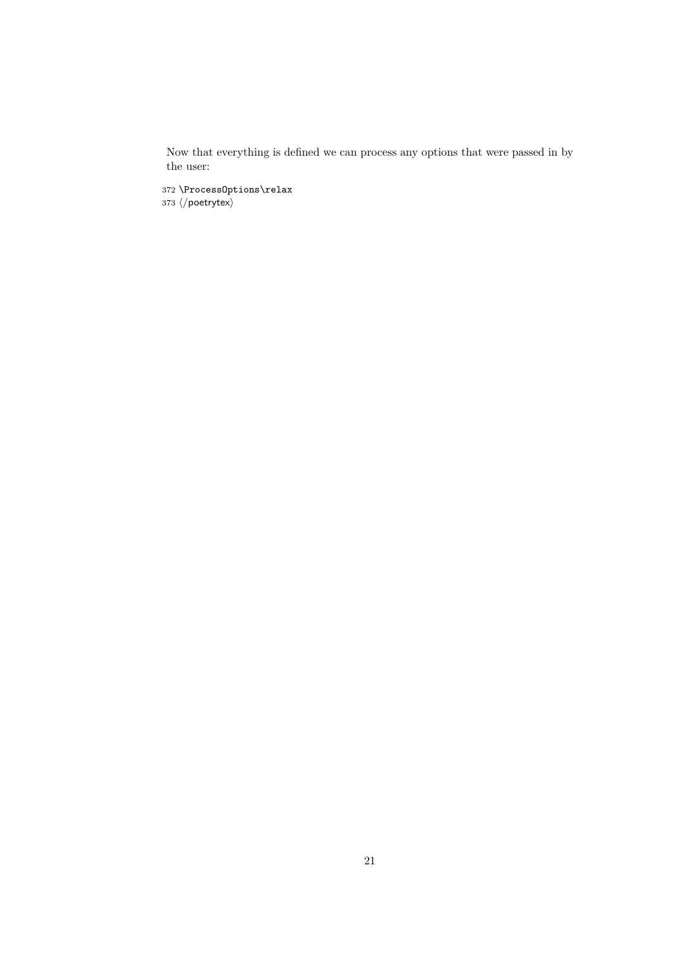Now that everything is defined we can process any [options](#page-3-1) that were passed in by the user:

372 \ProcessOptions\relax 373  $\langle /$ poetrytex $\rangle$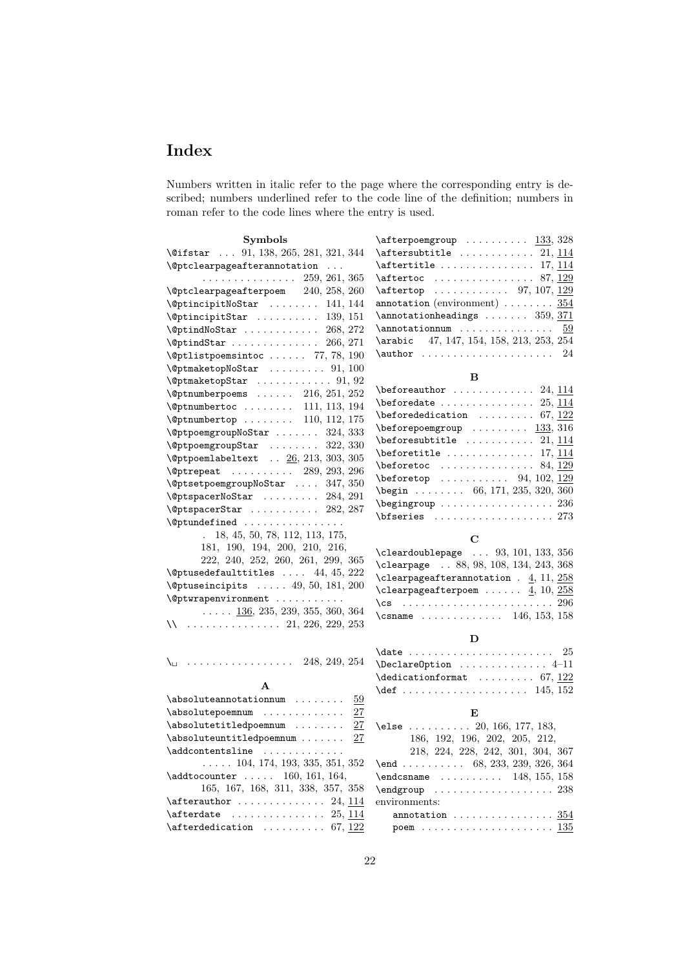## <span id="page-21-0"></span>Index

Numbers written in italic refer to the page where the corresponding entry is described; numbers underlined refer to the code line of the definition; numbers in roman refer to the code lines where the entry is used.

| <b>Symbols</b>                                                                                                                                                                                                                                                                                                                                             | ∖                             |
|------------------------------------------------------------------------------------------------------------------------------------------------------------------------------------------------------------------------------------------------------------------------------------------------------------------------------------------------------------|-------------------------------|
| $\text{\textbackslash}\mathfrak{G}$ ifstar  91, 138, 265, 281, 321, 344                                                                                                                                                                                                                                                                                    | ١                             |
| \@ptclearpageafterannotation                                                                                                                                                                                                                                                                                                                               | ١                             |
| $(259, 261, 365)$<br>\@ptclearpageafterpoem 240, 258, 260                                                                                                                                                                                                                                                                                                  | ١                             |
|                                                                                                                                                                                                                                                                                                                                                            | ١                             |
| %ptincipitNoStar  141,144<br>\@ptincipitStar  139,151                                                                                                                                                                                                                                                                                                      | a                             |
|                                                                                                                                                                                                                                                                                                                                                            | ∖                             |
| <b>\@ptindNoStar</b><br>268, 272                                                                                                                                                                                                                                                                                                                           | ∖                             |
| $\sqrt{266, 271}$                                                                                                                                                                                                                                                                                                                                          | ∖                             |
| $\left\{ \Phi, 1115 \Phi, 190 \right\}$                                                                                                                                                                                                                                                                                                                    | ١                             |
| $\Diamond$ gptmaketopNoStar  91, 100                                                                                                                                                                                                                                                                                                                       |                               |
| $\sqrt{2}$ ptmaketopStar  91, 92                                                                                                                                                                                                                                                                                                                           | ١                             |
| $\text{Qpt number}$ poems  216, 251, 252                                                                                                                                                                                                                                                                                                                   | ١                             |
| %Prinumbertoc  111, 113, 194<br>%Prinumbertop  110, 112, 175                                                                                                                                                                                                                                                                                               | ∖                             |
|                                                                                                                                                                                                                                                                                                                                                            | ∖                             |
| $\text{QptpoemgroupNoStar} \dots \dots \quad 324, 333$                                                                                                                                                                                                                                                                                                     | ١                             |
| $\sqrt{$ OptpoemgroupStar  322, 330                                                                                                                                                                                                                                                                                                                        | ١                             |
| $\Diamond$ gptpoemlabeltext $26, 213, 303, 305$                                                                                                                                                                                                                                                                                                            | ١                             |
| %)<br>%Deptrepeat  289, 293, 296<br>%DeptsetpoemgroupNoStar  347, 350                                                                                                                                                                                                                                                                                      | ١                             |
|                                                                                                                                                                                                                                                                                                                                                            | ١                             |
| $\text{QptspaceNoStar} \dots \dots \dots \quad 284, 291$                                                                                                                                                                                                                                                                                                   | ∖                             |
| $\left\{ \Phi, 282, 287 \right\}$                                                                                                                                                                                                                                                                                                                          | $\overline{\phantom{0}}$      |
|                                                                                                                                                                                                                                                                                                                                                            |                               |
| 18, 45, 50, 78, 112, 113, 175,                                                                                                                                                                                                                                                                                                                             |                               |
| 181, 190, 194, 200, 210, 216,<br>222, 240, 252, 260, 261, 299, 365                                                                                                                                                                                                                                                                                         | ∖                             |
| $\Diamond$ gptusedefaulttitles  44, 45, 222                                                                                                                                                                                                                                                                                                                | ١                             |
| $\sqrt{eptuse}$ incipits  49, 50, 181, 200                                                                                                                                                                                                                                                                                                                 | ١                             |
| \@ptwrapenvironment                                                                                                                                                                                                                                                                                                                                        | ١                             |
| $\ldots \ldots$ 136, 235, 239, 355, 360, 364                                                                                                                                                                                                                                                                                                               | ١                             |
| 11. 226, 229, 253                                                                                                                                                                                                                                                                                                                                          | $\overline{\phantom{0}}$      |
|                                                                                                                                                                                                                                                                                                                                                            |                               |
| $\cdots$ 248, 249, 254<br>∖⊔                                                                                                                                                                                                                                                                                                                               | ∖<br>$\overline{\phantom{0}}$ |
|                                                                                                                                                                                                                                                                                                                                                            | ١                             |
|                                                                                                                                                                                                                                                                                                                                                            | ١                             |
| $\verb+\absolute+ annotation num~~ ~ \underline{59}$                                                                                                                                                                                                                                                                                                       |                               |
| $\label{thm:subnormal}$<br>27                                                                                                                                                                                                                                                                                                                              |                               |
| \absolutetitledpoemnum<br>27                                                                                                                                                                                                                                                                                                                               | $\backslash$                  |
| \absoluteuntitledpoemnum<br>27                                                                                                                                                                                                                                                                                                                             |                               |
| \addcontentsline                                                                                                                                                                                                                                                                                                                                           |                               |
| $\ldots$ 104, 174, 193, 335, 351, 352                                                                                                                                                                                                                                                                                                                      | ١                             |
| $\addto counter \dots 160, 161, 164,$                                                                                                                                                                                                                                                                                                                      | ∖                             |
| 165, 167, 168, 311, 338, 357, 358                                                                                                                                                                                                                                                                                                                          | $\backslash$                  |
| $\setminus$ afterauthor  24, 114                                                                                                                                                                                                                                                                                                                           | $\overline{e}$                |
| $\lambda$ is the set of $\lambda$ is the set of $\lambda$ is $\lambda$ is $\lambda$ is $\lambda$ is $\lambda$ is $\lambda$ is $\lambda$ is $\lambda$ is $\lambda$ is $\lambda$ is $\lambda$ is $\lambda$ is $\lambda$ is $\lambda$ is $\lambda$ is $\lambda$ is $\lambda$ is $\lambda$ is $\lambda$ is $\lambda$ is $\lambda$ is $\lambda$ is $\lambda$ is |                               |
| $\lambda$ fterdedication  67, 122                                                                                                                                                                                                                                                                                                                          |                               |

| $\text{r}$ afterpoemgroup $133, 328$                                                                            |
|-----------------------------------------------------------------------------------------------------------------|
| $\dagger$ \aftersubtitle  21, 114                                                                               |
|                                                                                                                 |
|                                                                                                                 |
| $\text{r}$ 97, 107, 129                                                                                         |
| annotation (environment) $\ldots \ldots \ldots \frac{354}{35}$                                                  |
| $\lambda$ annotation headings  359, 371                                                                         |
|                                                                                                                 |
| \arabic 47, 147, 154, 158, 213, 253, 254                                                                        |
| $\lambda$ author  24                                                                                            |
|                                                                                                                 |
| B                                                                                                               |
| $\begin{bmatrix}$ beforeauthor  24, 114                                                                         |
| $\begin{array}{ccccccccccccc}\n\text{beforcedate} & \ldots & \ldots & \ldots & 25,114\n\end{array}$             |
| $\begin{equation} 67, 122 \end{equation}$                                                                       |
| $\begin{bmatrix} \beta & 316 \end{bmatrix}$                                                                     |
| $\begin{array}{cccccc}\n\text{before} 1, 114\n\end{array}$                                                      |
| $\begin{array}{ccccccccccccc}\n\text{beforetitle} & \ldots & \ldots & \ldots & 17,114\n\end{array}$             |
| $\text{before}$ 84, 129                                                                                         |
| $\begin{array}{ccccccccc}\n\text{beforetop} & \ldots & \ldots & \ldots & 94, 102, \underline{129}\n\end{array}$ |
| $\begin{array}{cccc} \text{begin} & . & . & . & . & . & . & 66, 171, 235, 320, 360 \end{array}$                 |
| $\begin{array}{ccc}\n\text{begin} 236\n\end{array}$                                                             |
| $\bf \{bfseries$ 273                                                                                            |
| $\mathbf C$                                                                                                     |
| $\verb+\cle+ ardoublepage + \ldots 93, 101, 133, 356$                                                           |
| 22 23 23 24 24 24 24 24 25 26                                                                                   |

| $\text{cleardoublepage} \dots 93, 101, 133, 356$ |
|--------------------------------------------------|
| \clearpage  88, 98, 108, 134, 243, 368           |
| \clearpageafterannotation $. 4, 11, 258$         |
| \clearpageafterpoem $\underline{4}$ , 10, 258    |
|                                                  |
| \csname  146, 153, 158                           |

#### D

| $\Delta$ PeclareOption  4-11 |  |  |  |  |  |  |  |
|------------------------------|--|--|--|--|--|--|--|
|                              |  |  |  |  |  |  |  |
| $\det$ 145, 152              |  |  |  |  |  |  |  |

#### E

| \else  20, 166, 177, 183,                                               |
|-------------------------------------------------------------------------|
| 186, 192, 196, 202, 205, 212,                                           |
| 218, 224, 228, 242, 301, 304, 367                                       |
|                                                                         |
| $\end{math}$ 148, 155, 158                                              |
|                                                                         |
| environments:                                                           |
| $annotation$ $354$                                                      |
| poem $\ldots \ldots \ldots \ldots \ldots \ldots \ldots \frac{135}{135}$ |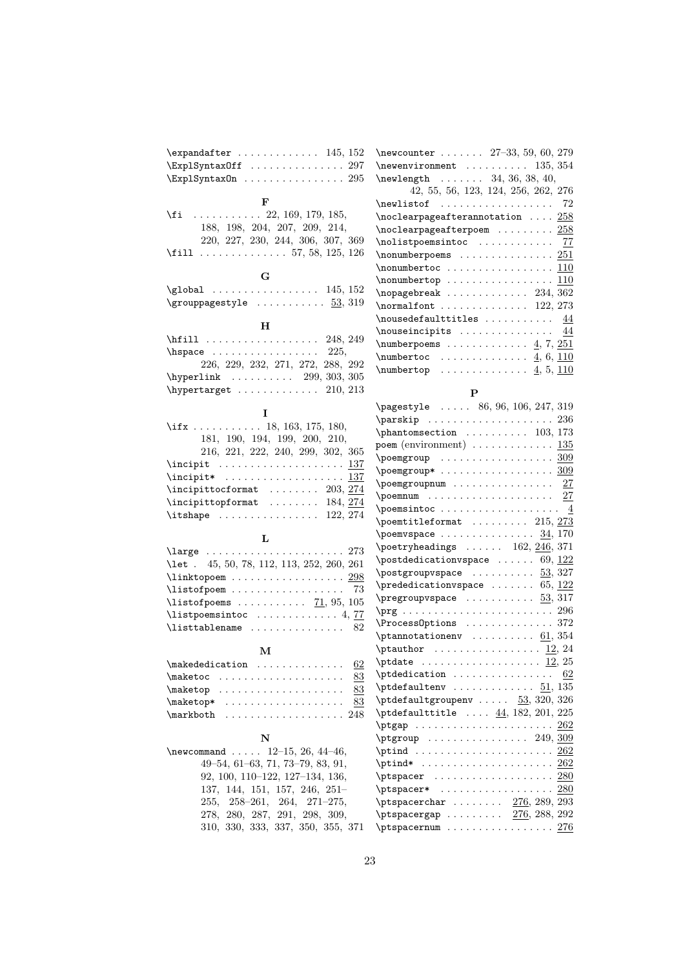| $\exp\{t$ 145, 152                                                            | \newcounter.         |
|-------------------------------------------------------------------------------|----------------------|
| $\Epsilon$ xplSyntaxOff  297                                                  | \newenvironme        |
| $\ExplSyn taxOn \ldots \ldots \ldots \ldots 295$                              | \newlength .         |
|                                                                               | 42, 55,              |
| F                                                                             | \newlistof .         |
| $\setminus$ fi  22, 169, 179, 185,                                            | \noclearpagea        |
| $188,\ 198,\ 204,\ 207,\ 209,\ 214,$                                          | \noclearpagea        |
| 220, 227, 230, 244, 306, 307, 369                                             | \nolistpoemsi        |
| $\text{11} \ldots \ldots \ldots \ldots 57, 58, 125, 126$                      | \nonumberpoem        |
|                                                                               | \nonumbertoc         |
| G                                                                             | \nonumbertop         |
| $\qquad$                                                                      | \nopagebreak         |
| $\qquad \qquad \texttt{\%rowpagestyle} \dots \dots \dots \underline{53}, 319$ | \normalfont.         |
|                                                                               | \nousedefault        |
| н                                                                             |                      |
|                                                                               | \nouseincipit        |
| $\hbox{\tt hspace} \ldots \ldots \ldots \ldots 225,$                          | \numberpoems         |
| 226, 229, 232, 271, 272, 288, 292                                             | \numbertoc .         |
| $\h{hyperlink    299, 303, 305}$                                              | \numbertop .         |
| $\hbox{\tt \hbox{hypertarget}}$ 210, 213                                      |                      |
|                                                                               |                      |
| Ι                                                                             | \pagestyle .         |
| $\iff$ 18, 163, 175, 180,                                                     | \parskip             |
| 181, 190, 194, 199, 200, 210,                                                 | \phantomsecti        |
| 216, 221, 222, 240, 299, 302, 365                                             | poem (environn       |
|                                                                               | \poemgroup .         |
| \incipit <u>137</u>                                                           | \poemgroup* .        |
| $\infty$                                                                      | \poemgroupnum        |
| $\infty$ 203, 274                                                             | \poemnum             |
| $\infty$ $184, 274$                                                           | \poemsintoc.         |
| $\{\text{itshape} \dots \dots \dots \dots \dots \ 122, 274\}$                 | \poemtitlefor        |
|                                                                               | \poemvspace.         |
| L                                                                             | \poetryheadir        |
| $\langle 273$                                                                 | \postdedicati        |
| \let . 45, 50, 78, 112, 113, 252, 260, 261                                    |                      |
| $\lambda$ inktopoem  298                                                      | \postgroupvsp        |
| $\text{listofpoem} \dots \dots \dots \dots \dots \ 73$                        | \prededicatio        |
| \listofpoems $71, 95, 105$                                                    | \pregroupvspa        |
| $\text{listpoemsintoc} \dots \dots \dots \dots \ 4, \frac{77}{12}$            | $\prg \ldots \ldots$ |
| $\texttt{listtablename} \dots \dots \dots \dots \ 82$                         | \Process0ptic        |
|                                                                               | \ptannotation        |
| м                                                                             | \ptauthor            |
| $\mathcal{L}$<br>62                                                           | \ptdate              |
| $\mathcal{L}$ aketoc<br>83                                                    | \ptdedication        |
| $\mathcal{L}$<br>83                                                           | \ptdefaultenv        |
| $\mathcal{L}$<br>83                                                           | \ptdefaultgro        |
| $\{\text{markboth} \dots \dots \dots \dots \dots \ 248\}$                     | \ptdefaulttit        |
|                                                                               | \ptgap               |
| N                                                                             | \ptgroup             |
| \newcommand $12-15$ , 26, 44-46,                                              | $\phi \ldots$        |
| 49-54, 61-63, 71, 73-79, 83, 91,                                              | $\phi * \ldots$      |
|                                                                               |                      |
| 92, 100, 110-122, 127-134, 136,                                               | \ptspacer            |
| 137, 144, 151, 157, 246, 251-                                                 | \ptspacer* .         |
| $255, 258-261, 264, 271-275,$                                                 | \ptspacerchar        |
| 278, 280, 287, 291, 298, 309,                                                 | \ptspacergap         |
| 310, 330, 333, 337, 350, 355, 371                                             | \ptspacernum         |

| \newcounter $27-33, 59, 60, 279$                                                                                                                                                                                                                                                                                                                                                                                                                                                                                                 |
|----------------------------------------------------------------------------------------------------------------------------------------------------------------------------------------------------------------------------------------------------------------------------------------------------------------------------------------------------------------------------------------------------------------------------------------------------------------------------------------------------------------------------------|
| $\neq$ Vnewenvironment  135, 354                                                                                                                                                                                                                                                                                                                                                                                                                                                                                                 |
| $\neq 34, 36, 38, 40,$                                                                                                                                                                                                                                                                                                                                                                                                                                                                                                           |
| 42, 55, 56, 123, 124, 256, 262, 276                                                                                                                                                                                                                                                                                                                                                                                                                                                                                              |
| $\ne$ list of  72                                                                                                                                                                                                                                                                                                                                                                                                                                                                                                                |
| $\infty$ $258$                                                                                                                                                                                                                                                                                                                                                                                                                                                                                                                   |
| $\n\cdot$ 258                                                                                                                                                                                                                                                                                                                                                                                                                                                                                                                    |
| \nolistpoemsintoc  77                                                                                                                                                                                                                                                                                                                                                                                                                                                                                                            |
|                                                                                                                                                                                                                                                                                                                                                                                                                                                                                                                                  |
|                                                                                                                                                                                                                                                                                                                                                                                                                                                                                                                                  |
|                                                                                                                                                                                                                                                                                                                                                                                                                                                                                                                                  |
|                                                                                                                                                                                                                                                                                                                                                                                                                                                                                                                                  |
| $\normalfont$ $\normalfont$ $\ldots$ $\normalfont$ $\normalfont$ $\normalfont$ $\normalfont$ $\normalfont$ $\normalfont$ $\normalfont$ $\normalfont$ $\normalfont$ $\normalfont$ $\normalfont$ $\normalfont$ $\normalfont$ $\normalfont$ $\normalfont$ $\normalfont$ $\normalfont$ $\normalfont$ $\normalfont$ $\normalfont$ $\normalfont$ $\normalfont$ $\normalfont$ $\normalfont$ $\normalfont$ $\normalfont$ $\normalfont$ $\normalfont$ $\normalfont$ $\normalfont$ $\normalfont$ $\normalfont$ $\normalfont$ $\normalfont$ |
| $\n\omega = 44$                                                                                                                                                                                                                                                                                                                                                                                                                                                                                                                  |
| $\text{Inouseincipits} \dots \dots \dots \quad \frac{44}{1}$                                                                                                                                                                                                                                                                                                                                                                                                                                                                     |
| $\text{number} \quad \ldots \quad \ldots \quad \underline{4}, 7, \underline{251}$                                                                                                                                                                                                                                                                                                                                                                                                                                                |
| $\text{number}$ toc $\frac{4}{6}{110}$                                                                                                                                                                                                                                                                                                                                                                                                                                                                                           |
| $\text{numbertop}$ 4, 5, 110                                                                                                                                                                                                                                                                                                                                                                                                                                                                                                     |
|                                                                                                                                                                                                                                                                                                                                                                                                                                                                                                                                  |

#### P

| \pagestyle  86, 96, 106, 247, 319                                                                     |
|-------------------------------------------------------------------------------------------------------|
| 236<br>\parskip                                                                                       |
| $\phi$ 103, 173                                                                                       |
| $\mathbf{p}$ oem (environment) $\dots\dots\dots\dots$<br>135                                          |
| $\begin{array}{ccc}\n\text{poemgroup} & \ldots & \ldots & \ldots\n\end{array}$<br>309                 |
| $\begin{array}{ccc} \text{Npoemgroup*} & \text{} & \text{} & \text{} & \text{} \end{array}$           |
| $\overline{27}$<br>\poemgroupnum                                                                      |
| 27                                                                                                    |
| \poemsintoc<br>$\overline{4}$                                                                         |
| $\gamma$ \poemtitleformat  215, 273                                                                   |
| \poemvspace<br>34,170                                                                                 |
| $\omega$ 162, $\frac{246}{371}$                                                                       |
| \postdedicationvspace  69, $122$                                                                      |
| $\text{postgroupspace} \dots \dots \dots \underline{53}, 327$                                         |
| \prededicationvspace  65, $122$                                                                       |
| $\perp$ $53, 317$                                                                                     |
| 296                                                                                                   |
| 372<br>\ProcessOptions                                                                                |
| $\phi$ \ptannotationenv  61, 354                                                                      |
| $\theta$ 12, 24                                                                                       |
| \ptdate                                                                                               |
| \ptdedication<br>62                                                                                   |
|                                                                                                       |
| $\theta$ \ptdefaultgroupenv $53, 320, 326$                                                            |
| $\theta$ $44, 182, 201, 225$                                                                          |
| 262<br>\ptgap                                                                                         |
| $\begin{array}{ccccccccc}\n\text{ptgroup} & \ldots & \ldots & \ldots & \ldots & 249,309\n\end{array}$ |
|                                                                                                       |
|                                                                                                       |
| \ptspacer<br>280                                                                                      |
| 280<br>\ptspacer*                                                                                     |
| $\beta$ . 289, 293                                                                                    |
|                                                                                                       |
| 276<br>$\mathcal{L}$                                                                                  |
|                                                                                                       |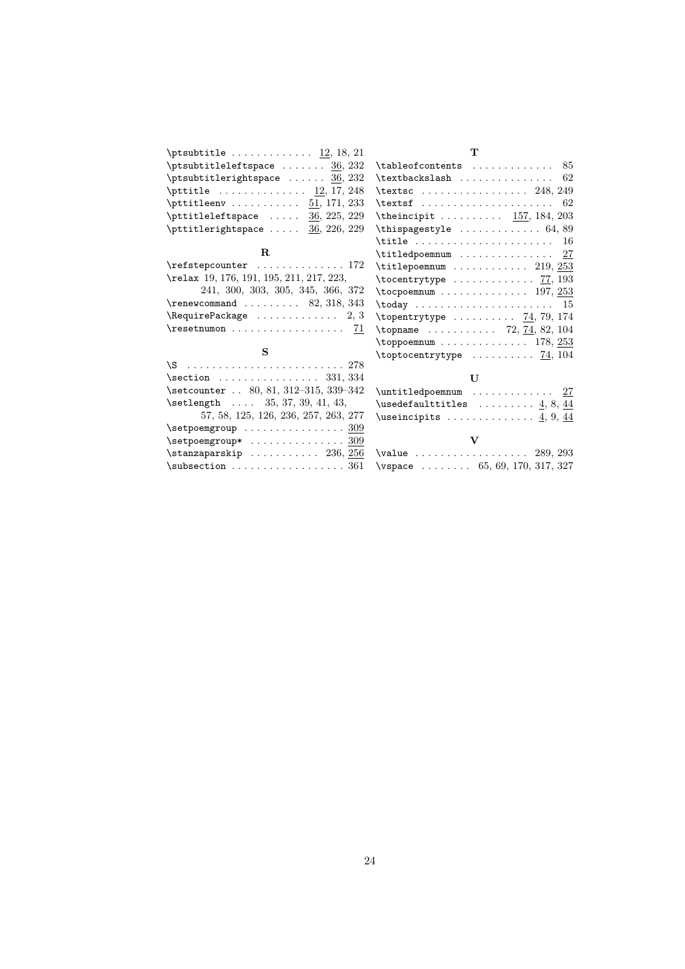|                                                                      | т                                                                       |
|----------------------------------------------------------------------|-------------------------------------------------------------------------|
| $\beta$ . $\frac{36}{232}$                                           | $\verb \tableofcontents   \dots   \dots   85$                           |
| $\beta$ . $\frac{36}{32}$                                            | $\texttt{\texttt{textbackslash}} \dots \dots \dots \dots \dots \ 62$    |
| $\{\text{pttitle} \dots \dots \dots \quad \underline{12}, 17, 248\}$ | \textsc $248, 249$                                                      |
| $\forall$ pttitleenv $\underline{51}$ , 171, 233                     | $\text{texts} \ldots \ldots \ldots \ldots \quad 62$                     |
| $\forall$ pttitleleftspace $\underline{36}$ , 225, 229               | \theincipit $157, 184, 203$                                             |
| $\forall$ pttitlerightspace  36, 226, 229                            | \thispagestyle $\dots\dots\dots\dots 64,89$                             |
|                                                                      | $\texttt{title} \dots \dots \dots \dots \dots \dots \ 16$               |
| $\bf{R}$                                                             | $\texttt{\texttt{titledpoemnum}} \dots \dots \dots \dots \dots \ 27$    |
| $\refstepcounter \ldots \ldots \ldots 172$                           | $\text{title}$ poemnum  219, 253                                        |
| \relax 19, 176, 191, 195, 211, 217, 223,                             | $\text{tocentrytype} \dots \dots \dots \quad \overline{77}, \, 193$     |
| 241, 300, 303, 305, 345, 366, 372                                    | $\to$ $197, 253$                                                        |
| $\gamma$ 82, 318, 343                                                | $\text{today} \dots \dots \dots \dots \dots \dots \dots \quad 15$       |
| $\lambda$ Require Package 2, 3                                       | $\text{topentrytype} \dots \dots \dots \quad 74, 79, 174$               |
| $\text{tree}$                                                        | \topname  72, 74, 82, 104                                               |
|                                                                      | $\rightarrow$ 178, 253                                                  |
| S                                                                    | $\text{toptocentrytype} \dots \dots \dots \quad \underline{74}, \, 104$ |
|                                                                      |                                                                         |
| $\setminus$ section  331, 334                                        | $\mathbf{U}$                                                            |
| \setcounter  80, 81, 312-315, 339-342                                | $\lvert \text{tledpoemnum } \ldots \ldots \ldots \quad \frac{27}{1}$    |
| $\setminus \text{setlength} \dots 35, 37, 39, 41, 43,$               | \usedefaulttitles $\ldots \ldots \quad 4, 8, 44$                        |
| 57, 58, 125, 126, 236, 257, 263, 277                                 | \useincipits $\ldots \ldots \ldots \ldots$ 4, 9, 44                     |
| $\setminus$ setpoemgroup  309                                        |                                                                         |
| $\setminus$ setpoemgroup*  309                                       | $\mathbf{V}$                                                            |
| $\frac{256}{256}$                                                    |                                                                         |
| $\simeq 361$                                                         | \vspace $\ldots \ldots$ 65, 69, 170, 317, 327                           |
|                                                                      |                                                                         |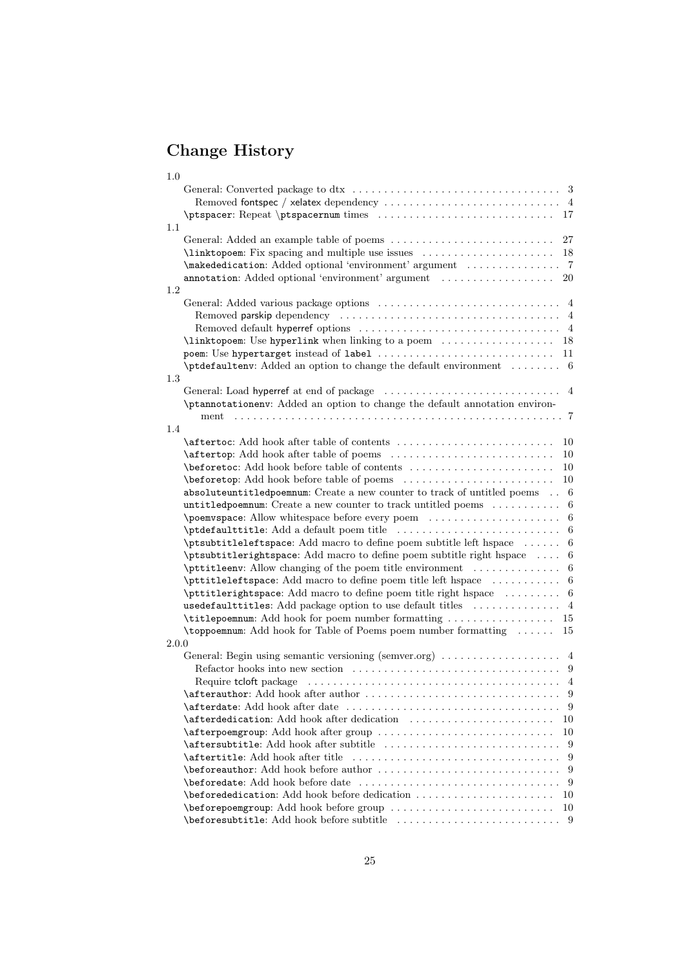## <span id="page-24-0"></span>Change History

| 1.0                                                                                                          |
|--------------------------------------------------------------------------------------------------------------|
|                                                                                                              |
| \ptspacer: Repeat \ptspacernum times  17                                                                     |
| $1.1\,$                                                                                                      |
| 27                                                                                                           |
| \linktopoem: Fix spacing and multiple use issues<br>18                                                       |
| annotation: Added optional 'environment' argument<br>20                                                      |
| 1.2                                                                                                          |
|                                                                                                              |
|                                                                                                              |
|                                                                                                              |
| $\lambda$ inktopoem: Use hyperlink when linking to a poem $\dots\dots\dots\dots\dots$<br>18                  |
| 11                                                                                                           |
| $\verb \ptdefaultenv: Added an option to change the default environment \dots 6$                             |
| 1.3                                                                                                          |
|                                                                                                              |
| \ptannotationenv: Added an option to change the default annotation environ-                                  |
| ment                                                                                                         |
| 1.4                                                                                                          |
| 10                                                                                                           |
| 10                                                                                                           |
| 10<br>10                                                                                                     |
| absoluteuntitledpoemnum: Create a new counter to track of untitled poems  6                                  |
| untitledpoemnum: Create a new counter to track untitled poems<br>-6                                          |
| 6                                                                                                            |
| -6                                                                                                           |
| \ptsubtitleleftspace: Add macro to define poem subtitle left hspace<br>6                                     |
| \ptsubtitlerightspace: Add macro to define poem subtitle right hspace<br>6                                   |
| <b>\pttitleenv:</b> Allow changing of the poem title environment<br>6                                        |
| \pttitleleftspace: Add macro to define poem title left hspace<br>-6                                          |
| \pttitlerightspace: Add macro to define poem title right hspace  6                                           |
| usedefaulttitles: Add package option to use default titles<br>$\overline{4}$                                 |
| <b>\titlepoemnum:</b> Add hook for poem number formatting<br>15                                              |
| $\to$ Stoppoemnum: Add hook for Table of Poems poem number formatting $\dots$<br>15                          |
| 2.0.0<br>General: Begin using semantic versioning (semver.org) $\dots \dots \dots \dots \dots$               |
|                                                                                                              |
| Require tcloft package $\dots \dots \dots \dots \dots \dots \dots \dots \dots \dots \dots \dots \dots \dots$ |
| \afterauthor: Add hook after author<br>9                                                                     |
| 9                                                                                                            |
| \afterdedication: Add hook after dedication<br>10                                                            |
| \afterpoemgroup: Add hook after group<br>10                                                                  |
| 9                                                                                                            |
| <b>\aftertitle:</b> Add hook after title<br>9                                                                |
| 9                                                                                                            |
| 9                                                                                                            |
| \beforededication: Add hook before dedication<br>10                                                          |
| \beforepoemgroup: Add hook before group<br>10                                                                |
|                                                                                                              |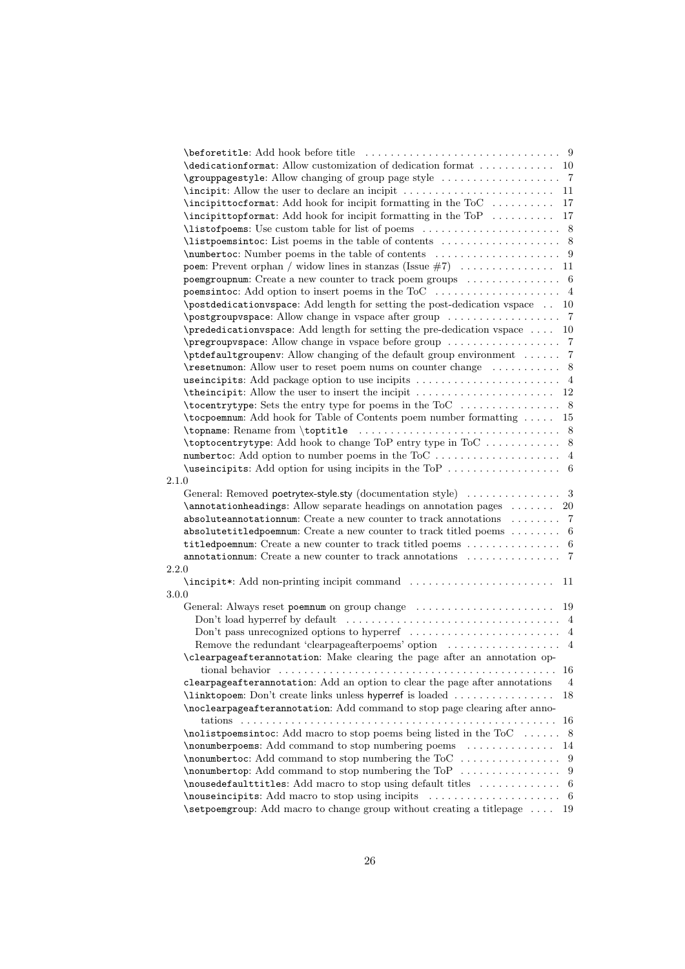|       | $\label{thm:1} \texttt{{\char'134}dedicationformat:} \text{Allow customization of deletion format } \dots \dots \dots \dots \quad \text{10}$ |    |
|-------|----------------------------------------------------------------------------------------------------------------------------------------------|----|
|       |                                                                                                                                              |    |
|       |                                                                                                                                              | 11 |
|       |                                                                                                                                              | 17 |
|       | \incipittopformat: Add hook for incipit formatting in the ToP                                                                                | 17 |
|       |                                                                                                                                              |    |
|       |                                                                                                                                              |    |
|       |                                                                                                                                              |    |
|       |                                                                                                                                              |    |
|       | poemgroupnum: Create a new counter to track poem groups $\dots\dots\dots\dots\dots$ 6                                                        |    |
|       | poemsintoc: Add option to insert poems in the ToC $\dots\dots\dots\dots\dots\dots$ 4                                                         |    |
|       | \postdedicationvspace: Add length for setting the post-dedication vspace  10                                                                 |    |
|       |                                                                                                                                              |    |
|       | \prededicationvspace: Add length for setting the pre-dedication vspace  10                                                                   |    |
|       |                                                                                                                                              |    |
|       | \ptdefaultgroupenv: Allow changing of the default group environment  7                                                                       |    |
|       |                                                                                                                                              |    |
|       |                                                                                                                                              |    |
|       |                                                                                                                                              |    |
|       |                                                                                                                                              |    |
|       | <b>\tocpoemnum:</b> Add hook for Table of Contents poem number formatting  15                                                                |    |
|       |                                                                                                                                              |    |
|       |                                                                                                                                              |    |
|       |                                                                                                                                              |    |
|       |                                                                                                                                              |    |
| 2.1.0 |                                                                                                                                              |    |
|       |                                                                                                                                              |    |
|       | \annotationheadings: Allow separate headings on annotation pages  20                                                                         |    |
|       |                                                                                                                                              |    |
|       |                                                                                                                                              |    |
|       | absolute annotation num: Create a new counter to track annotations $\dots \dots$ 7                                                           |    |
|       | absolutetitledpoemnum: Create a new counter to track titled poems $\dots \dots$ 6                                                            |    |
|       | titledpoemnum: Create a new counter to track titled poems  6                                                                                 |    |
| 2.2.0 | <b>annotation num:</b> Create a new counter to track annotations $\dots \dots \dots \dots$ 7                                                 |    |
|       |                                                                                                                                              | 11 |
| 3.0.0 |                                                                                                                                              |    |
|       |                                                                                                                                              |    |
|       |                                                                                                                                              |    |
|       | Don't load hyperref by default $\dots\dots\dots\dots\dots\dots\dots\dots\dots\dots\dots\dots\dots\dots\dots$                                 |    |
|       | Don't pass unrecognized options to hyperref $\dots \dots \dots \dots \dots \dots \dots$                                                      |    |
|       | Remove the redundant 'clearpageafter poems' option $\dots \dots \dots \dots$                                                                 |    |
|       | \clearpageafterannotation: Make clearing the page after an annotation op-                                                                    |    |
|       |                                                                                                                                              | 16 |
|       | clearpageafterannotation: Add an option to clear the page after annotations                                                                  | 4  |
|       | \linktopoem: Don't create links unless hyperref is loaded                                                                                    | 18 |
|       | \noclearpageafterannotation: Add command to stop page clearing after anno-                                                                   |    |
|       |                                                                                                                                              | 16 |
|       | \nolistpoemsintoc: Add macro to stop poems being listed in the ToC  8                                                                        |    |
|       | \nonumberpoems: Add command to stop numbering poems                                                                                          | 14 |
|       |                                                                                                                                              |    |
|       |                                                                                                                                              |    |
|       |                                                                                                                                              |    |
|       | \setpoemgroup: Add macro to change group without creating a titlepage  19                                                                    |    |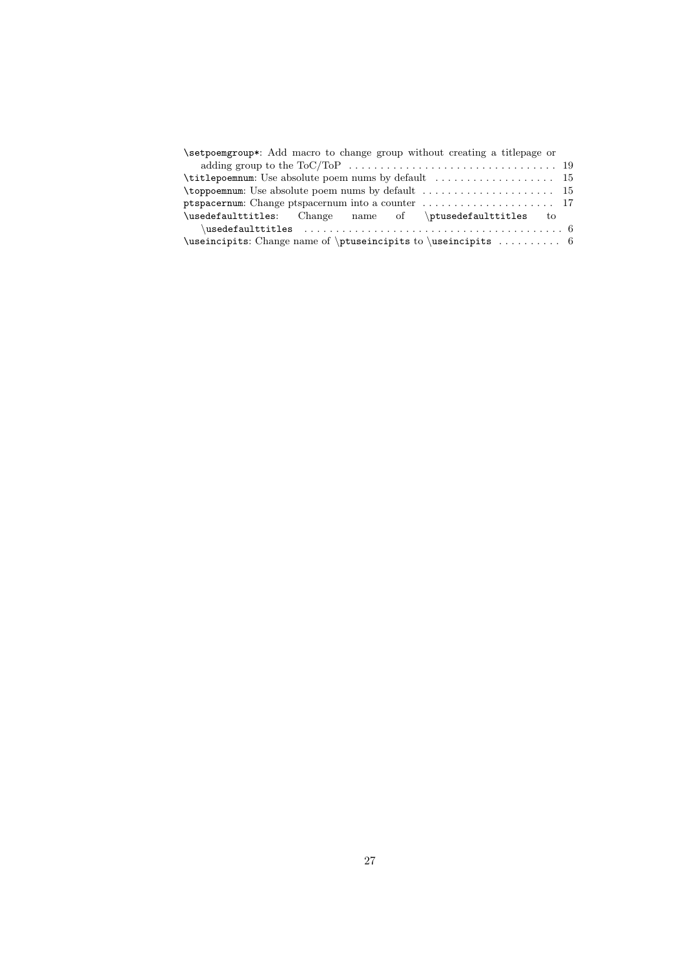| \setpoemgroup*: Add macro to change group without creating a titlepage or                                         |  |
|-------------------------------------------------------------------------------------------------------------------|--|
|                                                                                                                   |  |
|                                                                                                                   |  |
| $\to$ Theorem turns is default $\dots$ and $\to$ 15                                                               |  |
|                                                                                                                   |  |
| \usedefaulttitles: Change name of \ptusedefaulttitles to                                                          |  |
| $\texttt{\texttt{usedefaulttiles}} \dots \dots \dots \dots \dots \dots \dots \dots \dots \dots \dots \dots \dots$ |  |
|                                                                                                                   |  |
|                                                                                                                   |  |